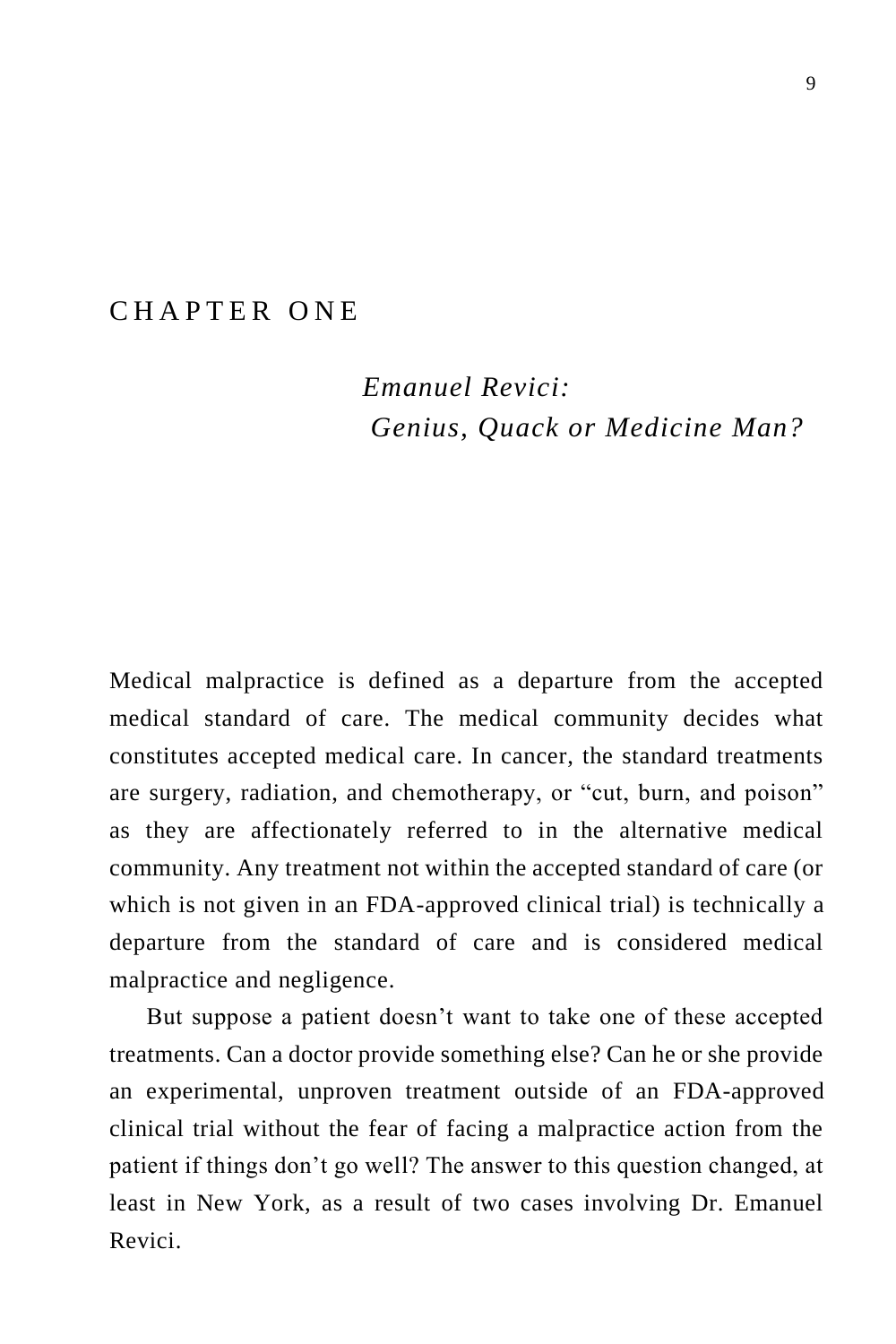## CHAPTER ONE

# *Emanuel Revici: Genius, Quack or Medicine Man?*

Medical malpractice is defined as a departure from the accepted medical standard of care. The medical community decides what constitutes accepted medical care. In cancer, the standard treatments are surgery, radiation, and chemotherapy, or "cut, burn, and poison" as they are affectionately referred to in the alternative medical community. Any treatment not within the accepted standard of care (or which is not given in an FDA-approved clinical trial) is technically a departure from the standard of care and is considered medical malpractice and negligence.

But suppose a patient doesn't want to take one of these accepted treatments. Can a doctor provide something else? Can he or she provide an experimental, unproven treatment outside of an FDA-approved clinical trial without the fear of facing a malpractice action from the patient if things don't go well? The answer to this question changed, at least in New York, as a result of two cases involving Dr. Emanuel Revici.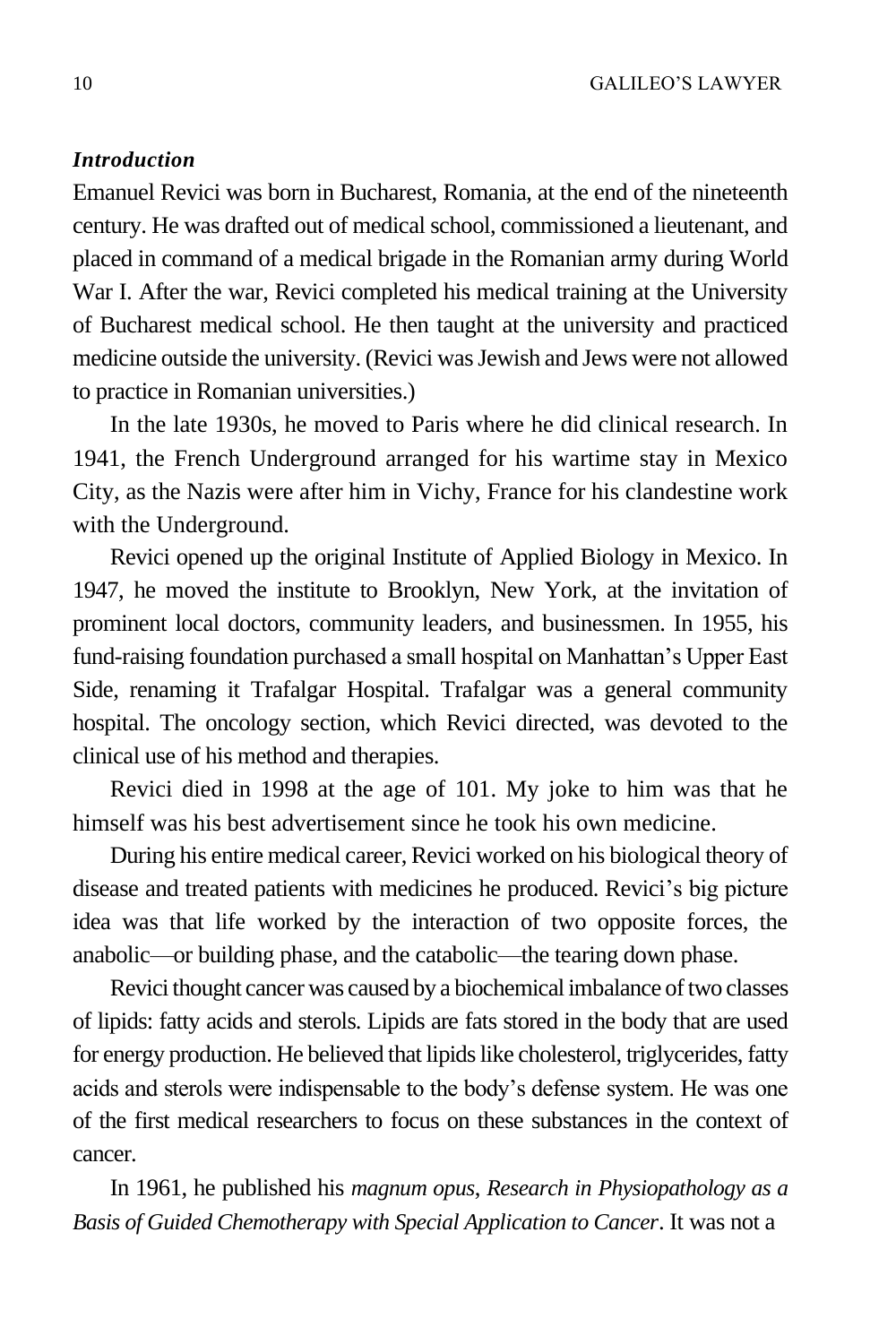## *Introduction*

Emanuel Revici was born in Bucharest, Romania, at the end of the nineteenth century. He was drafted out of medical school, commissioned a lieutenant, and placed in command of a medical brigade in the Romanian army during World War I. After the war, Revici completed his medical training at the University of Bucharest medical school. He then taught at the university and practiced medicine outside the university. (Revici was Jewish and Jews were not allowed to practice in Romanian universities.)

In the late 1930s, he moved to Paris where he did clinical research. In 1941, the French Underground arranged for his wartime stay in Mexico City, as the Nazis were after him in Vichy, France for his clandestine work with the Underground.

Revici opened up the original Institute of Applied Biology in Mexico. In 1947, he moved the institute to Brooklyn, New York, at the invitation of prominent local doctors, community leaders, and businessmen. In 1955, his fund-raising foundation purchased a small hospital on Manhattan's Upper East Side, renaming it Trafalgar Hospital. Trafalgar was a general community hospital. The oncology section, which Revici directed, was devoted to the clinical use of his method and therapies.

Revici died in 1998 at the age of 101. My joke to him was that he himself was his best advertisement since he took his own medicine.

During his entire medical career, Revici worked on his biological theory of disease and treated patients with medicines he produced. Revici's big picture idea was that life worked by the interaction of two opposite forces, the anabolic—or building phase, and the catabolic—the tearing down phase.

Revici thought cancer was caused by a biochemical imbalance of two classes of lipids: fatty acids and sterols. Lipids are fats stored in the body that are used for energy production. He believed that lipids like cholesterol, triglycerides, fatty acids and sterols were indispensable to the body's defense system. He was one of the first medical researchers to focus on these substances in the context of cancer.

In 1961, he published his *magnum opus*, *Research in Physiopathology as a Basis of Guided Chemotherapy with Special Application to Cancer*. It was not a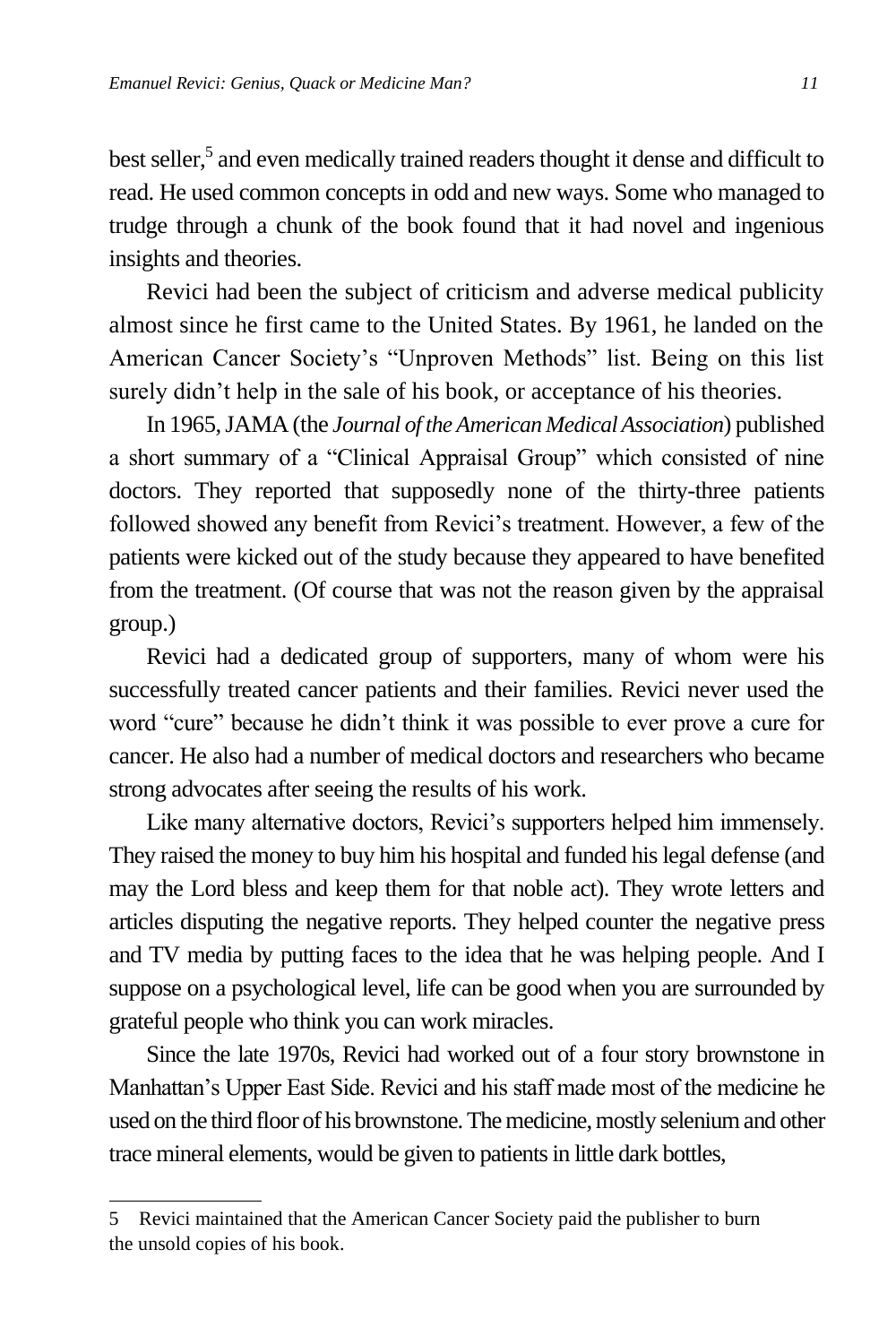best seller,<sup>5</sup> and even medically trained readers thought it dense and difficult to read. He used common concepts in odd and new ways. Some who managed to trudge through a chunk of the book found that it had novel and ingenious insights and theories.

Revici had been the subject of criticism and adverse medical publicity almost since he first came to the United States. By 1961, he landed on the American Cancer Society's "Unproven Methods" list. Being on this list surely didn't help in the sale of his book, or acceptance of his theories.

In 1965, JAMA (the *Journal of the American Medical Association*) published a short summary of a "Clinical Appraisal Group" which consisted of nine doctors. They reported that supposedly none of the thirty-three patients followed showed any benefit from Revici's treatment. However, a few of the patients were kicked out of the study because they appeared to have benefited from the treatment. (Of course that was not the reason given by the appraisal group.)

Revici had a dedicated group of supporters, many of whom were his successfully treated cancer patients and their families. Revici never used the word "cure" because he didn't think it was possible to ever prove a cure for cancer. He also had a number of medical doctors and researchers who became strong advocates after seeing the results of his work.

Like many alternative doctors, Revici's supporters helped him immensely. They raised the money to buy him his hospital and funded his legal defense (and may the Lord bless and keep them for that noble act). They wrote letters and articles disputing the negative reports. They helped counter the negative press and TV media by putting faces to the idea that he was helping people. And I suppose on a psychological level, life can be good when you are surrounded by grateful people who think you can work miracles.

Since the late 1970s, Revici had worked out of a four story brownstone in Manhattan's Upper East Side. Revici and his staff made most of the medicine he used on the third floor of his brownstone. The medicine, mostly selenium and other trace mineral elements, would be given to patients in little dark bottles,

<sup>5</sup> Revici maintained that the American Cancer Society paid the publisher to burn the unsold copies of his book.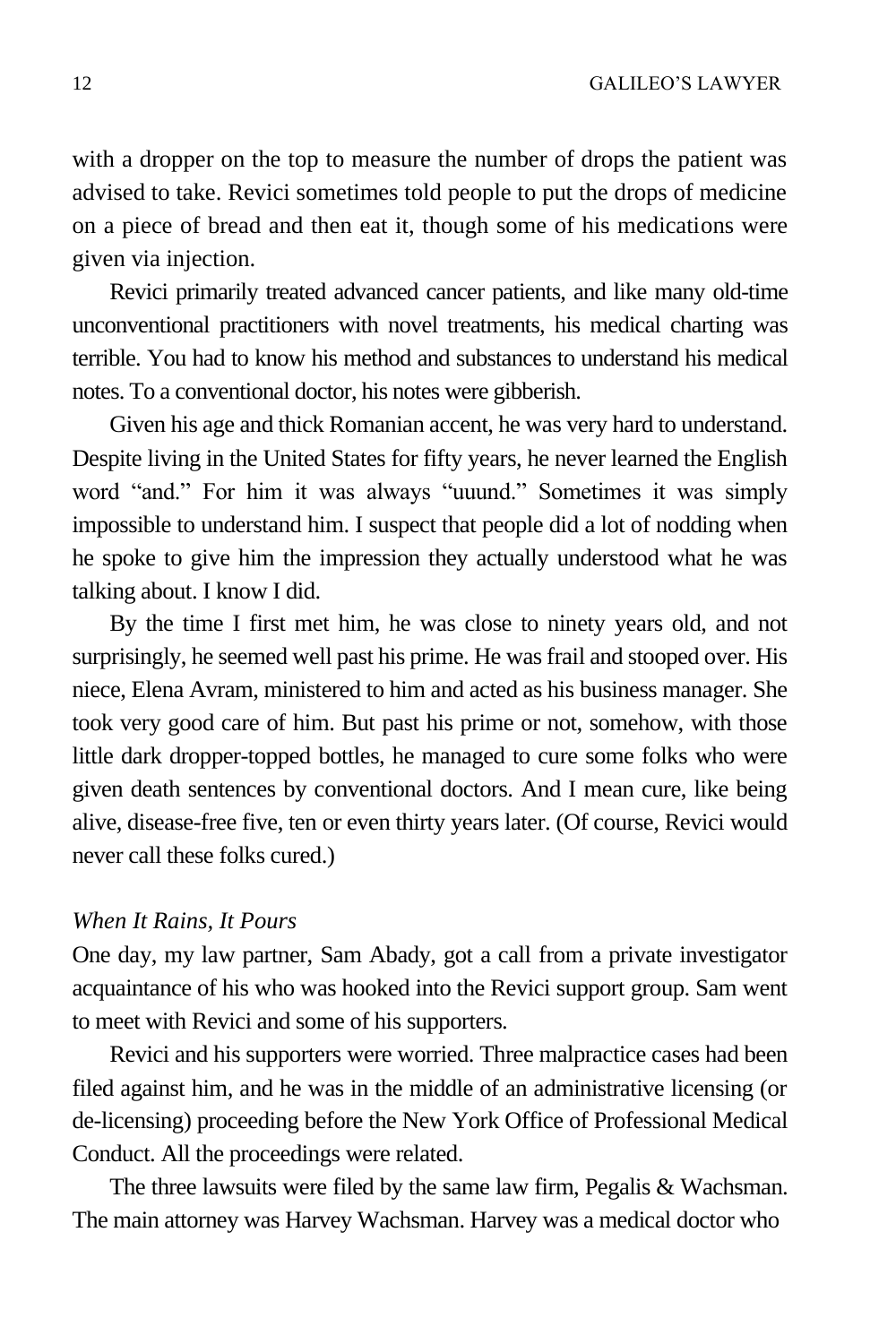with a dropper on the top to measure the number of drops the patient was advised to take. Revici sometimes told people to put the drops of medicine on a piece of bread and then eat it, though some of his medications were given via injection.

Revici primarily treated advanced cancer patients, and like many old-time unconventional practitioners with novel treatments, his medical charting was terrible. You had to know his method and substances to understand his medical notes. To a conventional doctor, his notes were gibberish.

Given his age and thick Romanian accent, he was very hard to understand. Despite living in the United States for fifty years, he never learned the English word "and." For him it was always "uuund." Sometimes it was simply impossible to understand him. I suspect that people did a lot of nodding when he spoke to give him the impression they actually understood what he was talking about. I know I did.

By the time I first met him, he was close to ninety years old, and not surprisingly, he seemed well past his prime. He was frail and stooped over. His niece, Elena Avram, ministered to him and acted as his business manager. She took very good care of him. But past his prime or not, somehow, with those little dark dropper-topped bottles, he managed to cure some folks who were given death sentences by conventional doctors. And I mean cure, like being alive, disease-free five, ten or even thirty years later. (Of course, Revici would never call these folks cured.)

## *When It Rains, It Pours*

One day, my law partner, Sam Abady, got a call from a private investigator acquaintance of his who was hooked into the Revici support group. Sam went to meet with Revici and some of his supporters.

Revici and his supporters were worried. Three malpractice cases had been filed against him, and he was in the middle of an administrative licensing (or de-licensing) proceeding before the New York Office of Professional Medical Conduct. All the proceedings were related.

The three lawsuits were filed by the same law firm, Pegalis & Wachsman. The main attorney was Harvey Wachsman. Harvey was a medical doctor who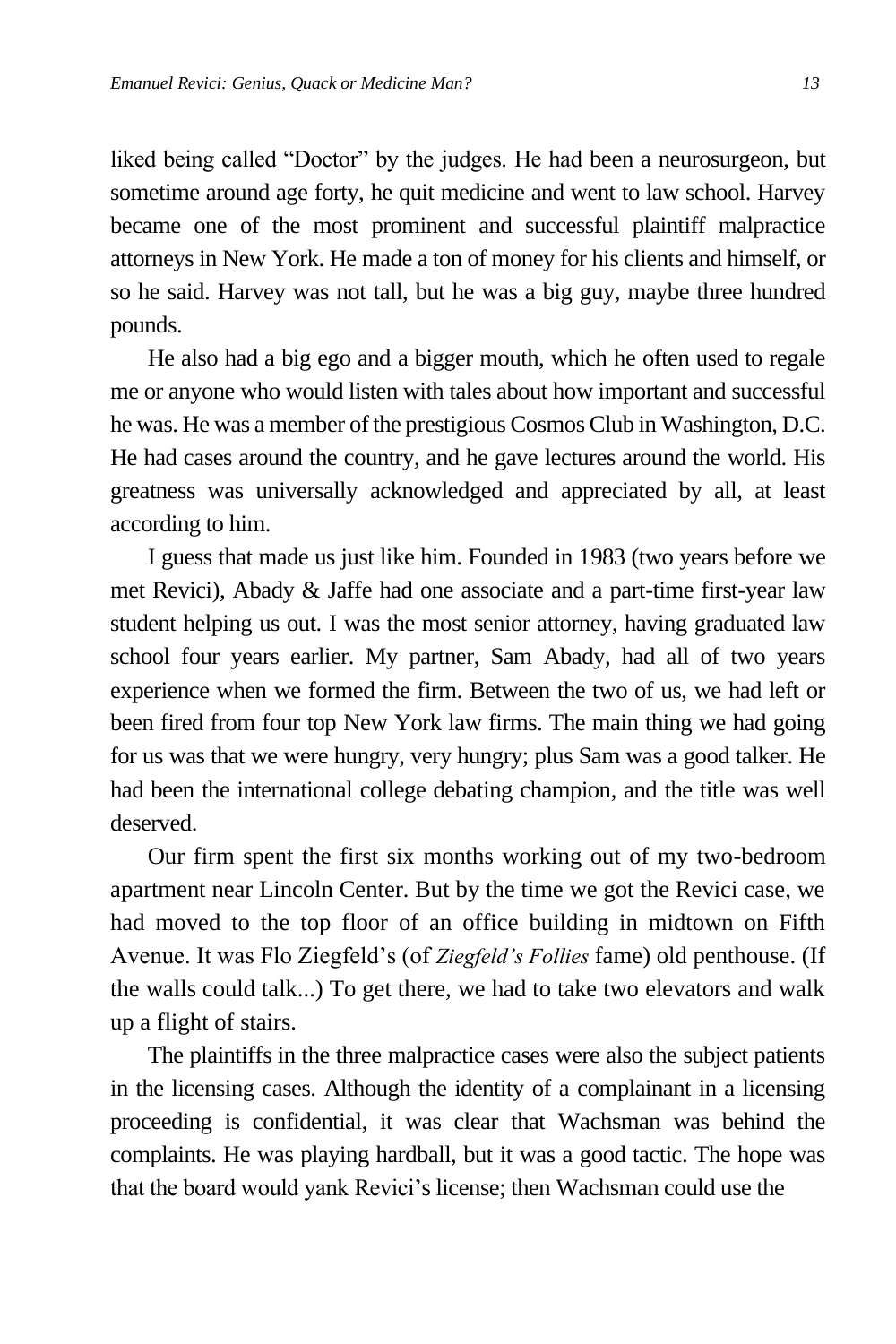liked being called "Doctor" by the judges. He had been a neurosurgeon, but sometime around age forty, he quit medicine and went to law school. Harvey became one of the most prominent and successful plaintiff malpractice attorneys in New York. He made a ton of money for his clients and himself, or so he said. Harvey was not tall, but he was a big guy, maybe three hundred pounds.

He also had a big ego and a bigger mouth, which he often used to regale me or anyone who would listen with tales about how important and successful he was. He was a member of the prestigious Cosmos Club in Washington, D.C. He had cases around the country, and he gave lectures around the world. His greatness was universally acknowledged and appreciated by all, at least according to him.

I guess that made us just like him. Founded in 1983 (two years before we met Revici), Abady & Jaffe had one associate and a part-time first-year law student helping us out. I was the most senior attorney, having graduated law school four years earlier. My partner, Sam Abady, had all of two years experience when we formed the firm. Between the two of us, we had left or been fired from four top New York law firms. The main thing we had going for us was that we were hungry, very hungry; plus Sam was a good talker. He had been the international college debating champion, and the title was well deserved.

Our firm spent the first six months working out of my two-bedroom apartment near Lincoln Center. But by the time we got the Revici case, we had moved to the top floor of an office building in midtown on Fifth Avenue. It was Flo Ziegfeld's (of *Ziegfeld's Follies* fame) old penthouse. (If the walls could talk...) To get there, we had to take two elevators and walk up a flight of stairs.

The plaintiffs in the three malpractice cases were also the subject patients in the licensing cases. Although the identity of a complainant in a licensing proceeding is confidential, it was clear that Wachsman was behind the complaints. He was playing hardball, but it was a good tactic. The hope was that the board would yank Revici's license; then Wachsman could use the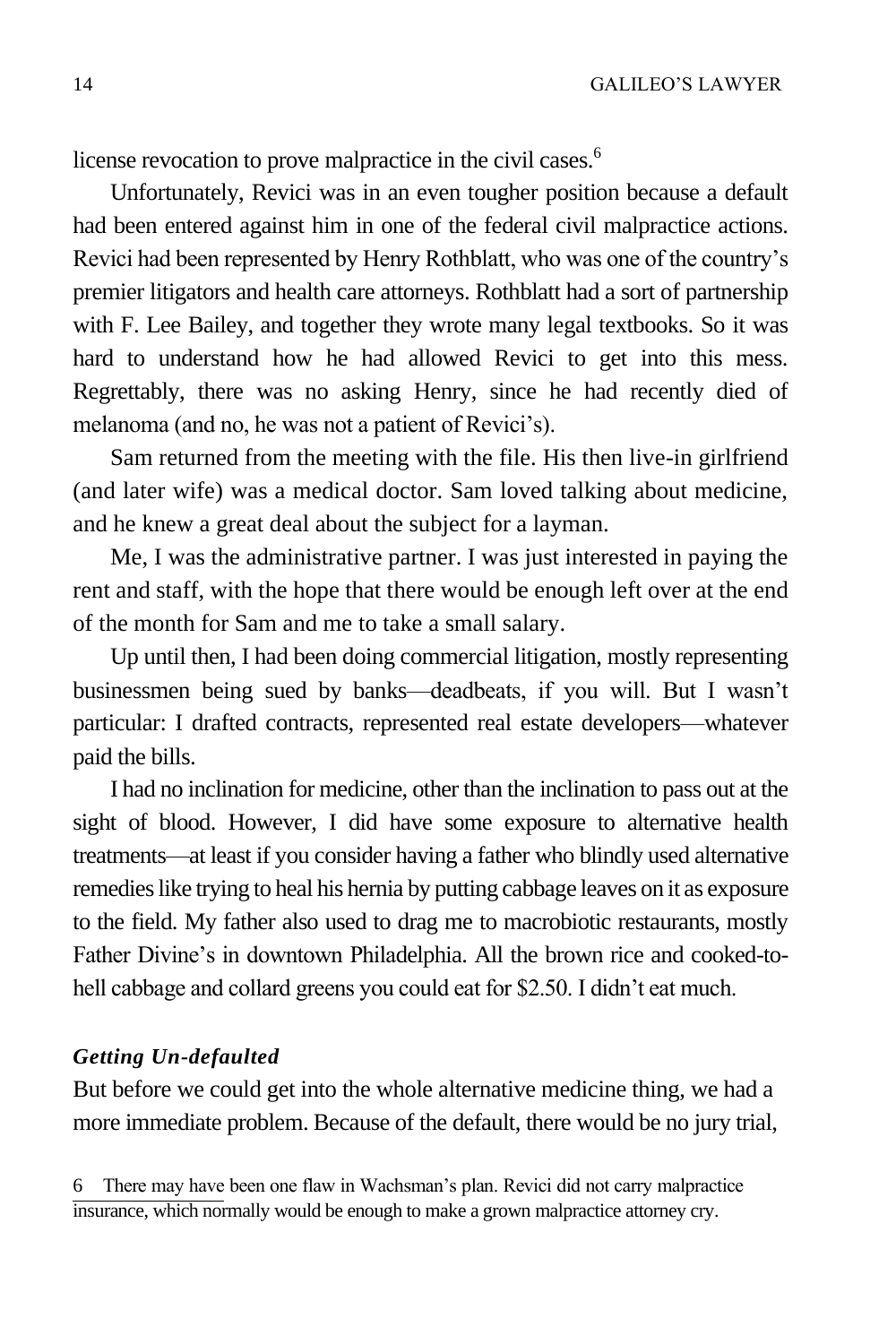license revocation to prove malpractice in the civil cases.<sup>6</sup>

Unfortunately, Revici was in an even tougher position because a default had been entered against him in one of the federal civil malpractice actions. Revici had been represented by Henry Rothblatt, who was one of the country's premier litigators and health care attorneys. Rothblatt had a sort of partnership with F. Lee Bailey, and together they wrote many legal textbooks. So it was hard to understand how he had allowed Revici to get into this mess. Regrettably, there was no asking Henry, since he had recently died of melanoma (and no, he was not a patient of Revici's).

Sam returned from the meeting with the file. His then live-in girlfriend (and later wife) was a medical doctor. Sam loved talking about medicine, and he knew a great deal about the subject for a layman.

Me, I was the administrative partner. I was just interested in paying the rent and staff, with the hope that there would be enough left over at the end of the month for Sam and me to take a small salary.

Up until then, I had been doing commercial litigation, mostly representing businessmen being sued by banks—deadbeats, if you will. But I wasn't particular: I drafted contracts, represented real estate developers—whatever paid the bills.

I had no inclination for medicine, other than the inclination to pass out at the sight of blood. However, I did have some exposure to alternative health treatments—at least if you consider having a father who blindly used alternative remedies like trying to heal his hernia by putting cabbage leaves on it as exposure to the field. My father also used to drag me to macrobiotic restaurants, mostly Father Divine's in downtown Philadelphia. All the brown rice and cooked-tohell cabbage and collard greens you could eat for \$2.50. I didn't eat much.

## *Getting Un-defaulted*

But before we could get into the whole alternative medicine thing, we had a more immediate problem. Because of the default, there would be no jury trial,

There may have been one flaw in Wachsman's plan. Revici did not carry malpractice insurance, which normally would be enough to make a grown malpractice attorney cry.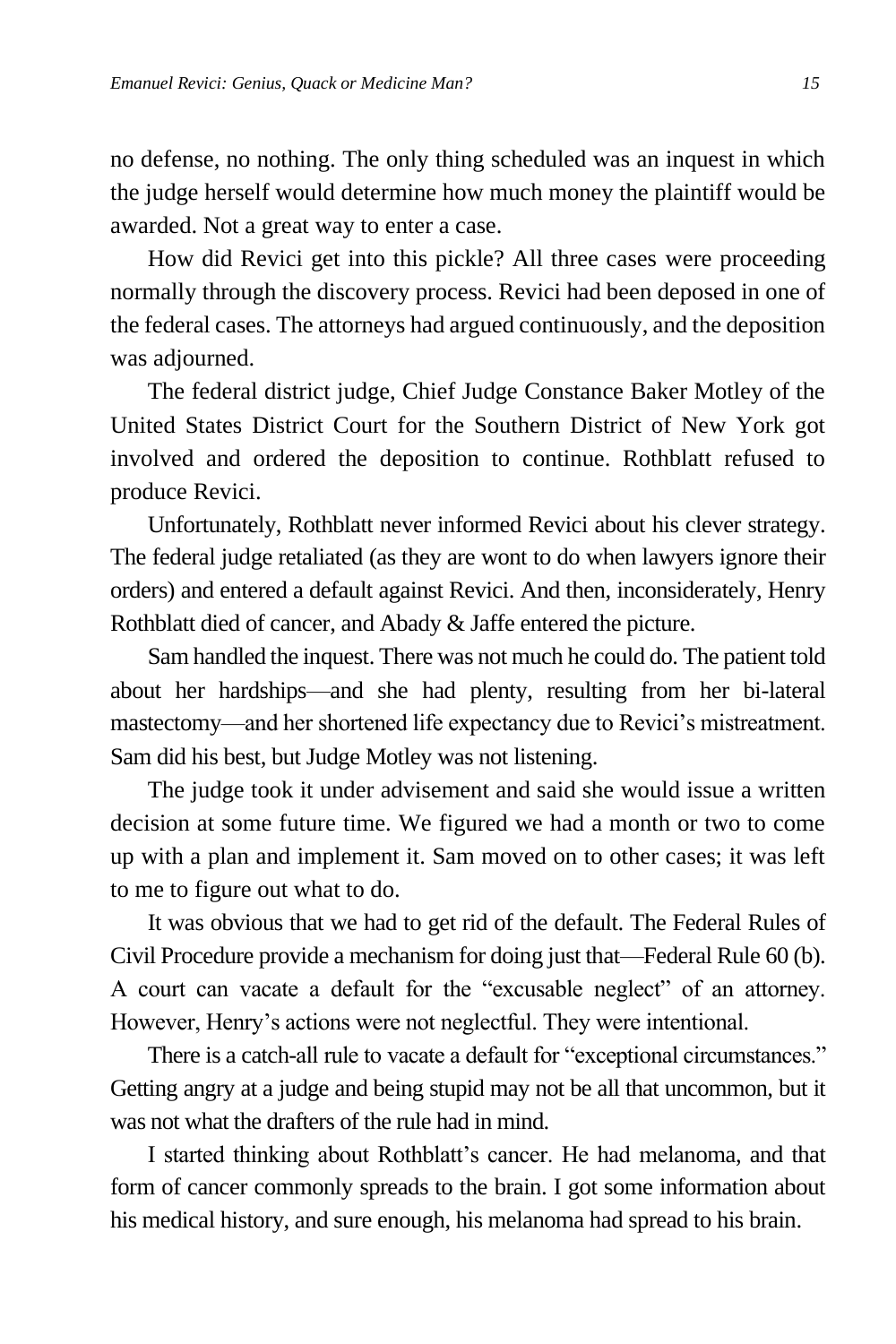no defense, no nothing. The only thing scheduled was an inquest in which the judge herself would determine how much money the plaintiff would be awarded. Not a great way to enter a case.

How did Revici get into this pickle? All three cases were proceeding normally through the discovery process. Revici had been deposed in one of the federal cases. The attorneys had argued continuously, and the deposition was adjourned.

The federal district judge, Chief Judge Constance Baker Motley of the United States District Court for the Southern District of New York got involved and ordered the deposition to continue. Rothblatt refused to produce Revici.

Unfortunately, Rothblatt never informed Revici about his clever strategy. The federal judge retaliated (as they are wont to do when lawyers ignore their orders) and entered a default against Revici. And then, inconsiderately, Henry Rothblatt died of cancer, and Abady & Jaffe entered the picture.

Sam handled the inquest. There was not much he could do. The patient told about her hardships—and she had plenty, resulting from her bi-lateral mastectomy—and her shortened life expectancy due to Revici's mistreatment. Sam did his best, but Judge Motley was not listening.

The judge took it under advisement and said she would issue a written decision at some future time. We figured we had a month or two to come up with a plan and implement it. Sam moved on to other cases; it was left to me to figure out what to do.

It was obvious that we had to get rid of the default. The Federal Rules of Civil Procedure provide a mechanism for doing just that—Federal Rule 60 (b). A court can vacate a default for the "excusable neglect" of an attorney. However, Henry's actions were not neglectful. They were intentional.

There is a catch-all rule to vacate a default for "exceptional circumstances." Getting angry at a judge and being stupid may not be all that uncommon, but it was not what the drafters of the rule had in mind.

I started thinking about Rothblatt's cancer. He had melanoma, and that form of cancer commonly spreads to the brain. I got some information about his medical history, and sure enough, his melanoma had spread to his brain.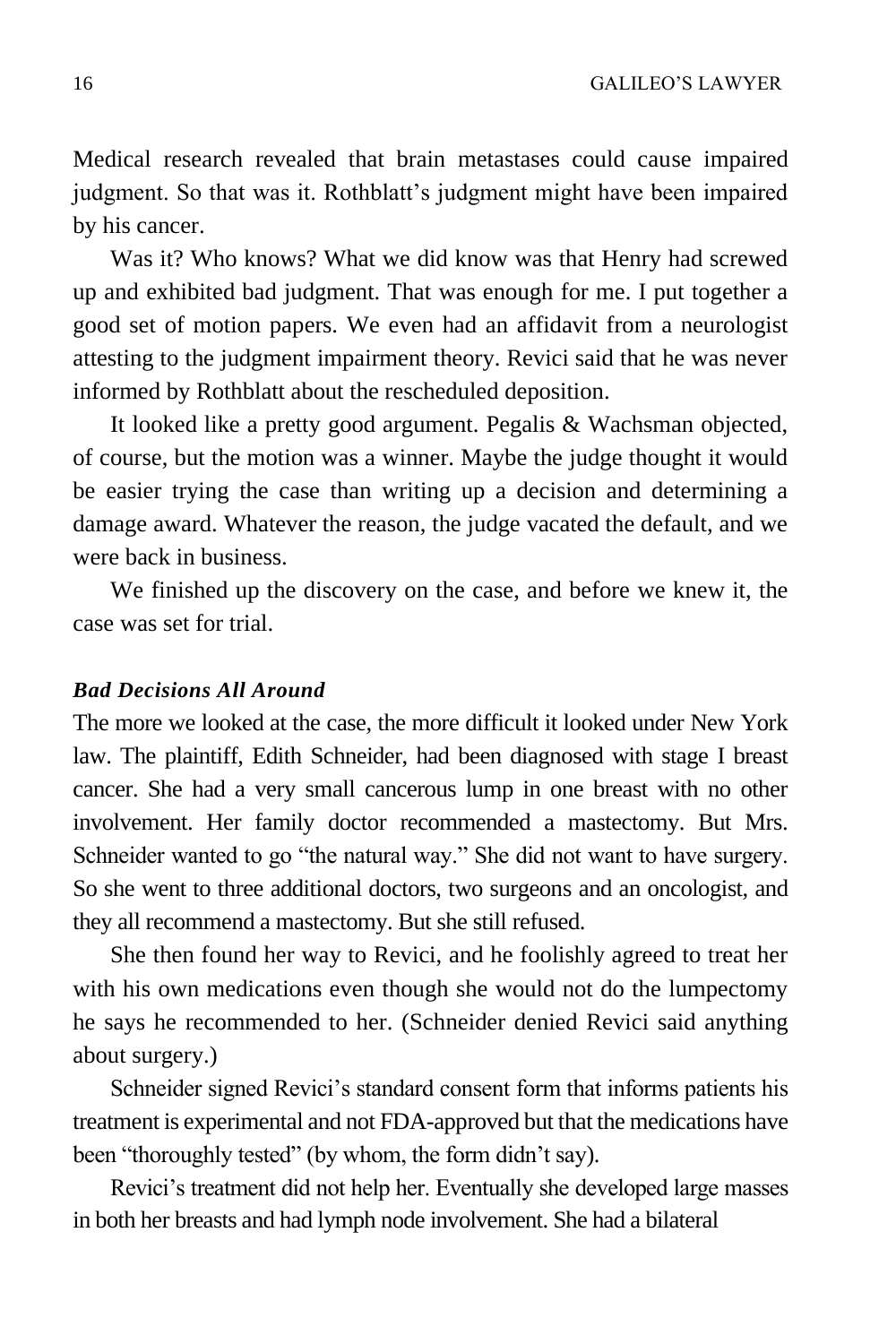Medical research revealed that brain metastases could cause impaired judgment. So that was it. Rothblatt's judgment might have been impaired by his cancer.

Was it? Who knows? What we did know was that Henry had screwed up and exhibited bad judgment. That was enough for me. I put together a good set of motion papers. We even had an affidavit from a neurologist attesting to the judgment impairment theory. Revici said that he was never informed by Rothblatt about the rescheduled deposition.

It looked like a pretty good argument. Pegalis & Wachsman objected, of course, but the motion was a winner. Maybe the judge thought it would be easier trying the case than writing up a decision and determining a damage award. Whatever the reason, the judge vacated the default, and we were back in business.

We finished up the discovery on the case, and before we knew it, the case was set for trial.

## *Bad Decisions All Around*

The more we looked at the case, the more difficult it looked under New York law. The plaintiff, Edith Schneider, had been diagnosed with stage I breast cancer. She had a very small cancerous lump in one breast with no other involvement. Her family doctor recommended a mastectomy. But Mrs. Schneider wanted to go "the natural way." She did not want to have surgery. So she went to three additional doctors, two surgeons and an oncologist, and they all recommend a mastectomy. But she still refused.

She then found her way to Revici, and he foolishly agreed to treat her with his own medications even though she would not do the lumpectomy he says he recommended to her. (Schneider denied Revici said anything about surgery.)

Schneider signed Revici's standard consent form that informs patients his treatment is experimental and not FDA-approved but that the medications have been "thoroughly tested" (by whom, the form didn't say).

Revici's treatment did not help her. Eventually she developed large masses in both her breasts and had lymph node involvement. She had a bilateral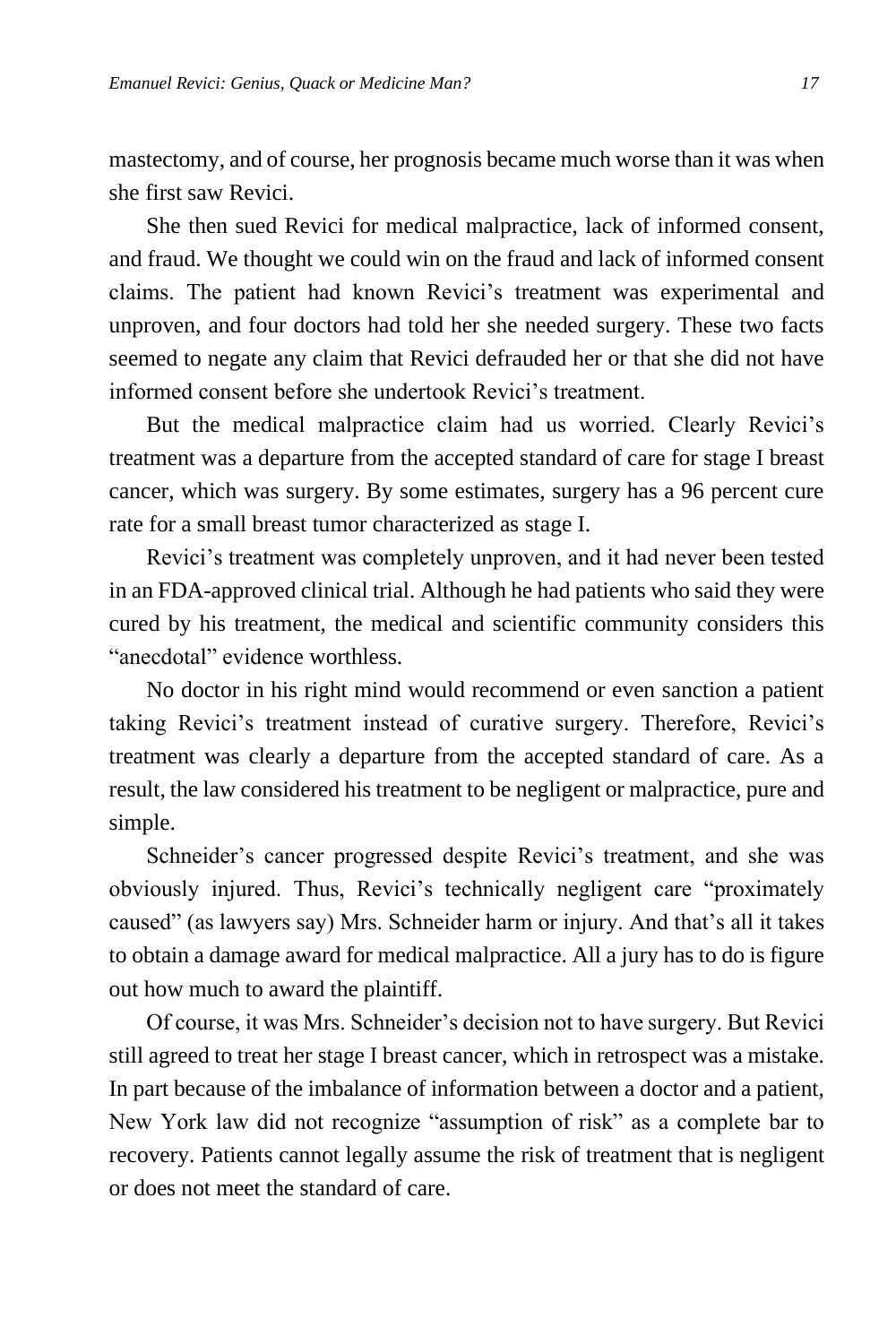mastectomy, and of course, her prognosis became much worse than it was when she first saw Revici.

She then sued Revici for medical malpractice, lack of informed consent, and fraud. We thought we could win on the fraud and lack of informed consent claims. The patient had known Revici's treatment was experimental and unproven, and four doctors had told her she needed surgery. These two facts seemed to negate any claim that Revici defrauded her or that she did not have informed consent before she undertook Revici's treatment.

But the medical malpractice claim had us worried. Clearly Revici's treatment was a departure from the accepted standard of care for stage I breast cancer, which was surgery. By some estimates, surgery has a 96 percent cure rate for a small breast tumor characterized as stage I.

Revici's treatment was completely unproven, and it had never been tested in an FDA-approved clinical trial. Although he had patients who said they were cured by his treatment, the medical and scientific community considers this "anecdotal" evidence worthless.

No doctor in his right mind would recommend or even sanction a patient taking Revici's treatment instead of curative surgery. Therefore, Revici's treatment was clearly a departure from the accepted standard of care. As a result, the law considered his treatment to be negligent or malpractice, pure and simple.

Schneider's cancer progressed despite Revici's treatment, and she was obviously injured. Thus, Revici's technically negligent care "proximately caused" (as lawyers say) Mrs. Schneider harm or injury. And that's all it takes to obtain a damage award for medical malpractice. All a jury has to do is figure out how much to award the plaintiff.

Of course, it was Mrs. Schneider's decision not to have surgery. But Revici still agreed to treat her stage I breast cancer, which in retrospect was a mistake. In part because of the imbalance of information between a doctor and a patient, New York law did not recognize "assumption of risk" as a complete bar to recovery. Patients cannot legally assume the risk of treatment that is negligent or does not meet the standard of care.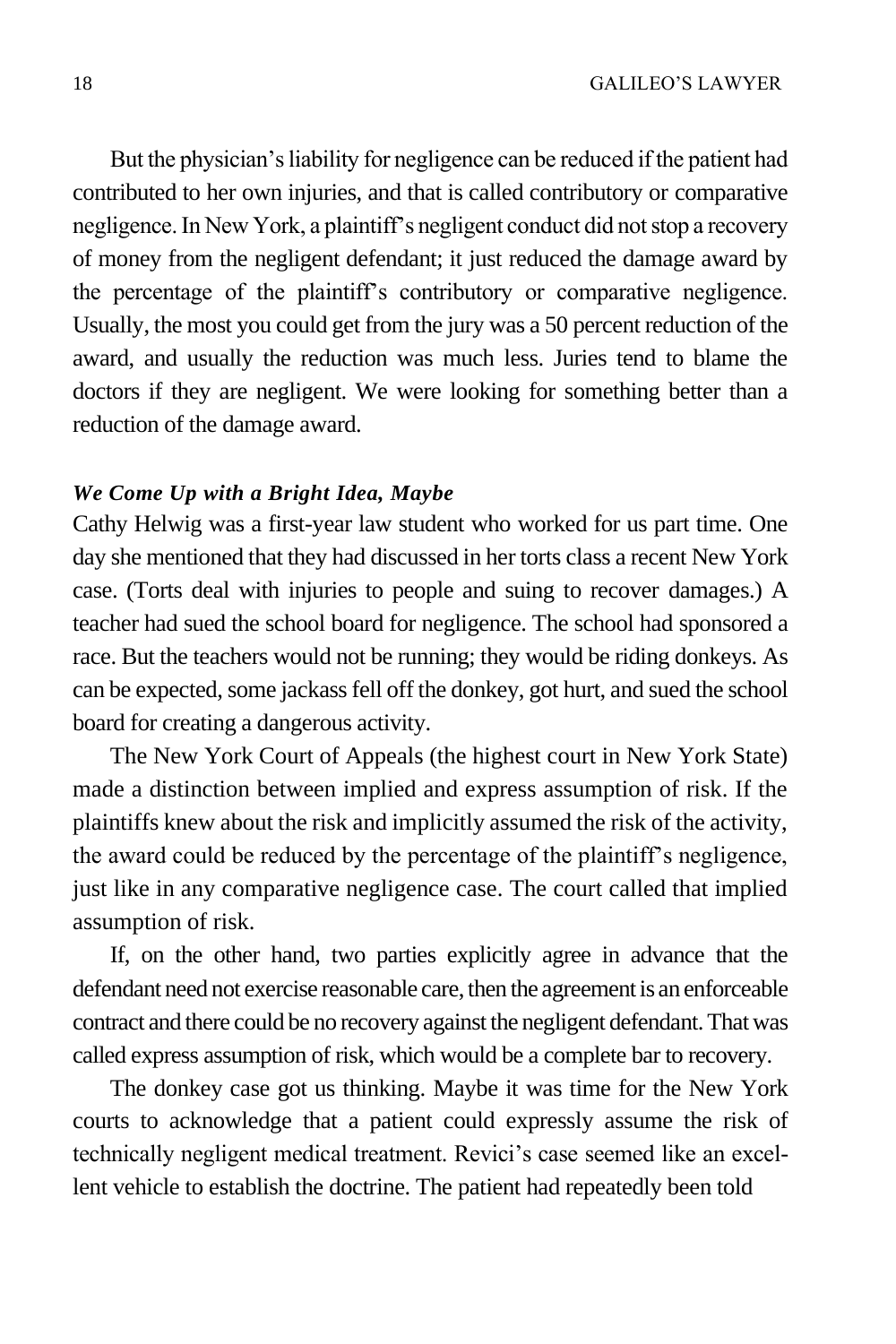But the physician's liability for negligence can be reduced if the patient had contributed to her own injuries, and that is called contributory or comparative negligence. In New York, a plaintiff's negligent conduct did not stop a recovery of money from the negligent defendant; it just reduced the damage award by the percentage of the plaintiff's contributory or comparative negligence. Usually, the most you could get from the jury was a 50 percent reduction of the award, and usually the reduction was much less. Juries tend to blame the doctors if they are negligent. We were looking for something better than a reduction of the damage award.

#### *We Come Up with a Bright Idea, Maybe*

Cathy Helwig was a first-year law student who worked for us part time. One day she mentioned that they had discussed in her torts class a recent New York case. (Torts deal with injuries to people and suing to recover damages.) A teacher had sued the school board for negligence. The school had sponsored a race. But the teachers would not be running; they would be riding donkeys. As can be expected, some jackass fell off the donkey, got hurt, and sued the school board for creating a dangerous activity.

The New York Court of Appeals (the highest court in New York State) made a distinction between implied and express assumption of risk. If the plaintiffs knew about the risk and implicitly assumed the risk of the activity, the award could be reduced by the percentage of the plaintiff's negligence, just like in any comparative negligence case. The court called that implied assumption of risk.

If, on the other hand, two parties explicitly agree in advance that the defendant need not exercise reasonable care, then the agreement is an enforceable contract and there could be no recovery against the negligent defendant. That was called express assumption of risk, which would be a complete bar to recovery.

The donkey case got us thinking. Maybe it was time for the New York courts to acknowledge that a patient could expressly assume the risk of technically negligent medical treatment. Revici's case seemed like an excellent vehicle to establish the doctrine. The patient had repeatedly been told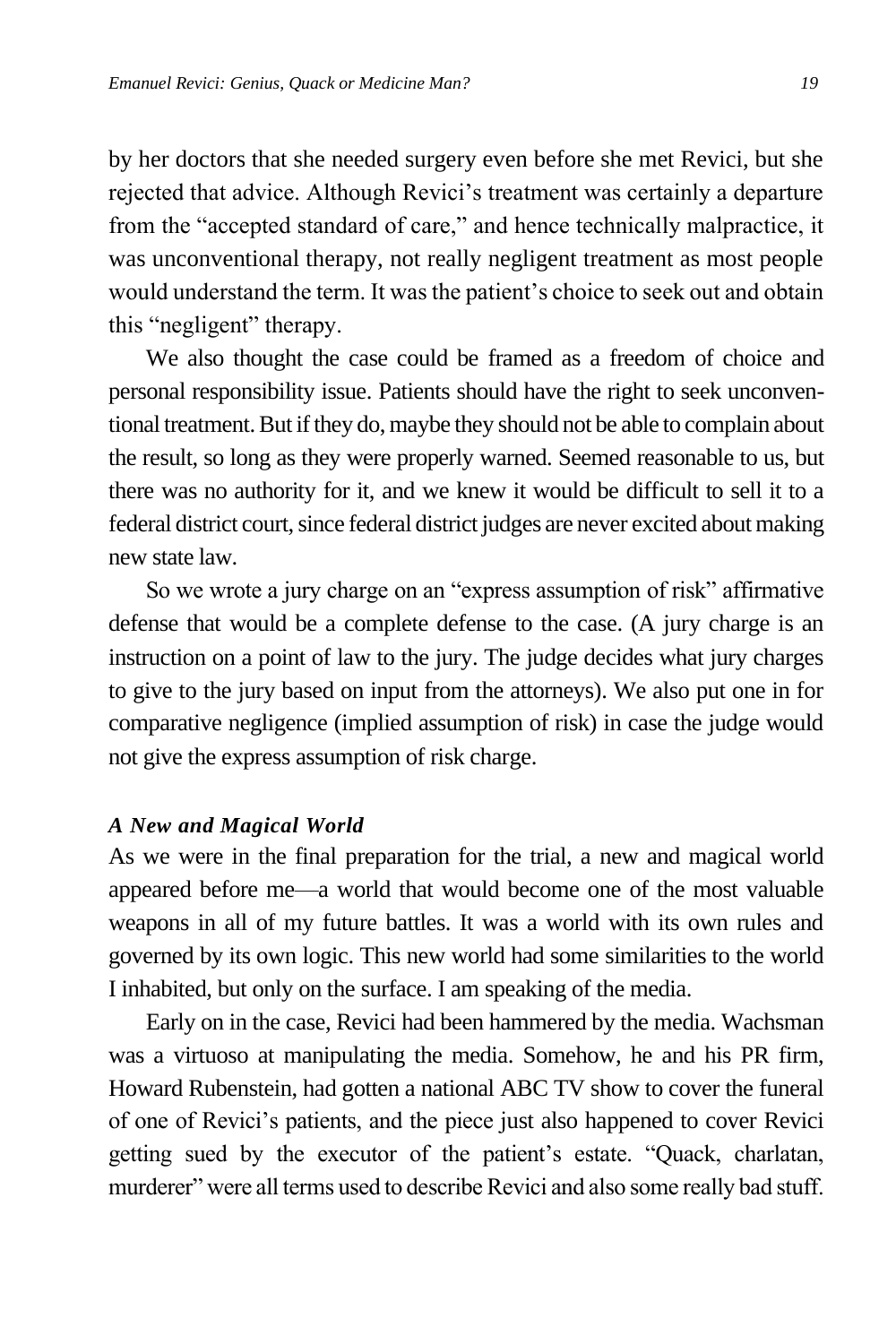by her doctors that she needed surgery even before she met Revici, but she rejected that advice. Although Revici's treatment was certainly a departure from the "accepted standard of care," and hence technically malpractice, it was unconventional therapy, not really negligent treatment as most people would understand the term. It was the patient's choice to seek out and obtain this "negligent" therapy.

We also thought the case could be framed as a freedom of choice and personal responsibility issue. Patients should have the right to seek unconventional treatment. But if they do, maybe they should not be able to complain about the result, so long as they were properly warned. Seemed reasonable to us, but there was no authority for it, and we knew it would be difficult to sell it to a federal district court, since federal district judges are never excited about making new state law.

So we wrote a jury charge on an "express assumption of risk" affirmative defense that would be a complete defense to the case. (A jury charge is an instruction on a point of law to the jury. The judge decides what jury charges to give to the jury based on input from the attorneys). We also put one in for comparative negligence (implied assumption of risk) in case the judge would not give the express assumption of risk charge.

#### *A New and Magical World*

As we were in the final preparation for the trial, a new and magical world appeared before me—a world that would become one of the most valuable weapons in all of my future battles. It was a world with its own rules and governed by its own logic. This new world had some similarities to the world I inhabited, but only on the surface. I am speaking of the media.

Early on in the case, Revici had been hammered by the media. Wachsman was a virtuoso at manipulating the media. Somehow, he and his PR firm, Howard Rubenstein, had gotten a national ABC TV show to cover the funeral of one of Revici's patients, and the piece just also happened to cover Revici getting sued by the executor of the patient's estate. "Quack, charlatan, murderer" were all terms used to describe Revici and also some really bad stuff.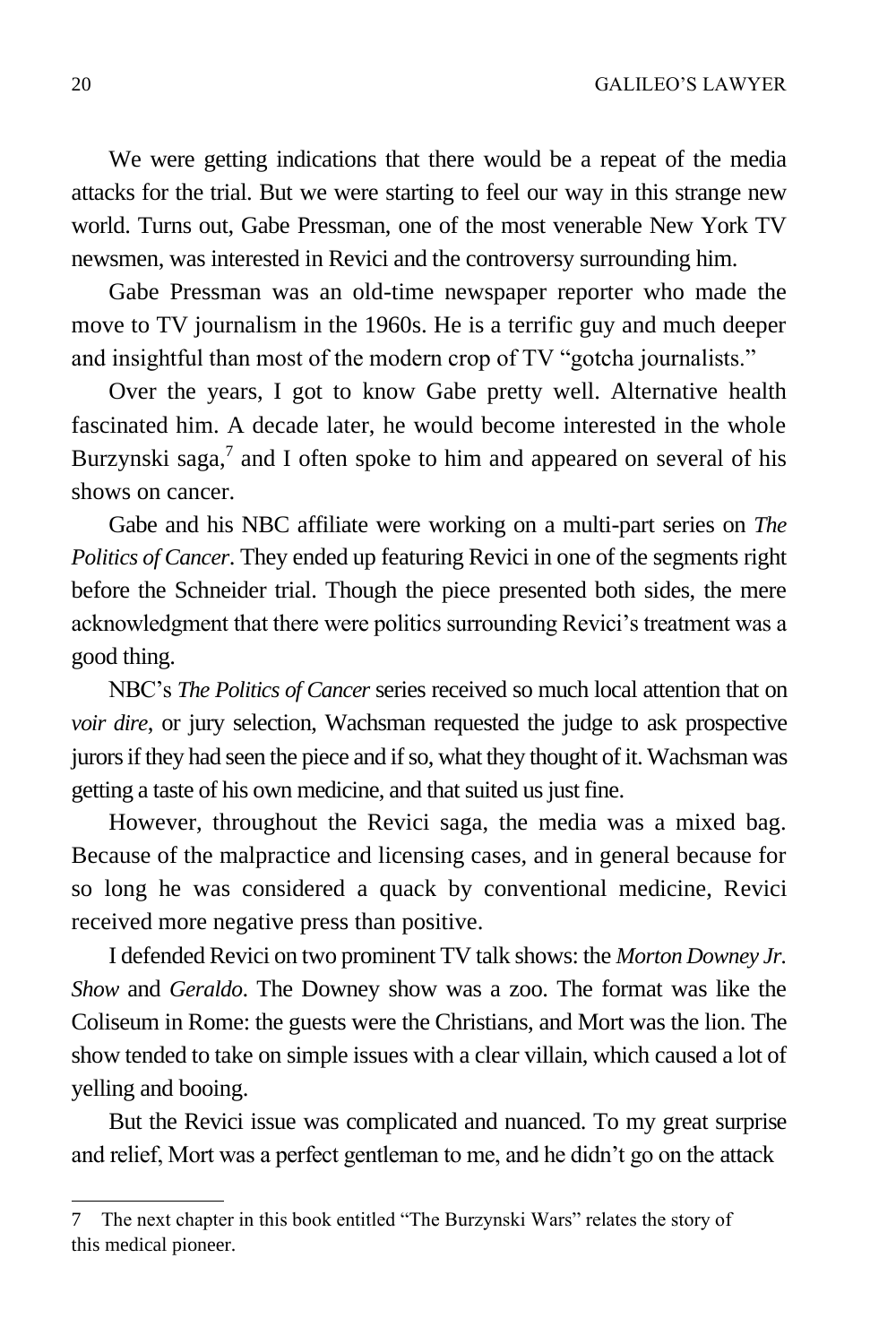We were getting indications that there would be a repeat of the media attacks for the trial. But we were starting to feel our way in this strange new world. Turns out, Gabe Pressman, one of the most venerable New York TV newsmen, was interested in Revici and the controversy surrounding him.

Gabe Pressman was an old-time newspaper reporter who made the move to TV journalism in the 1960s. He is a terrific guy and much deeper and insightful than most of the modern crop of TV "gotcha journalists."

Over the years, I got to know Gabe pretty well. Alternative health fascinated him. A decade later, he would become interested in the whole Burzynski saga, $7$  and I often spoke to him and appeared on several of his shows on cancer.

Gabe and his NBC affiliate were working on a multi-part series on *The Politics of Cancer*. They ended up featuring Revici in one of the segments right before the Schneider trial. Though the piece presented both sides, the mere acknowledgment that there were politics surrounding Revici's treatment was a good thing.

NBC's *The Politics of Cancer* series received so much local attention that on *voir dire*, or jury selection, Wachsman requested the judge to ask prospective jurors if they had seen the piece and if so, what they thought of it. Wachsman was getting a taste of his own medicine, and that suited us just fine.

However, throughout the Revici saga, the media was a mixed bag. Because of the malpractice and licensing cases, and in general because for so long he was considered a quack by conventional medicine, Revici received more negative press than positive.

I defended Revici on two prominent TV talk shows: the *Morton Downey Jr. Show* and *Geraldo*. The Downey show was a zoo. The format was like the Coliseum in Rome: the guests were the Christians, and Mort was the lion. The show tended to take on simple issues with a clear villain, which caused a lot of yelling and booing.

But the Revici issue was complicated and nuanced. To my great surprise and relief, Mort was a perfect gentleman to me, and he didn't go on the attack

<sup>7</sup> The next chapter in this book entitled "The Burzynski Wars" relates the story of this medical pioneer.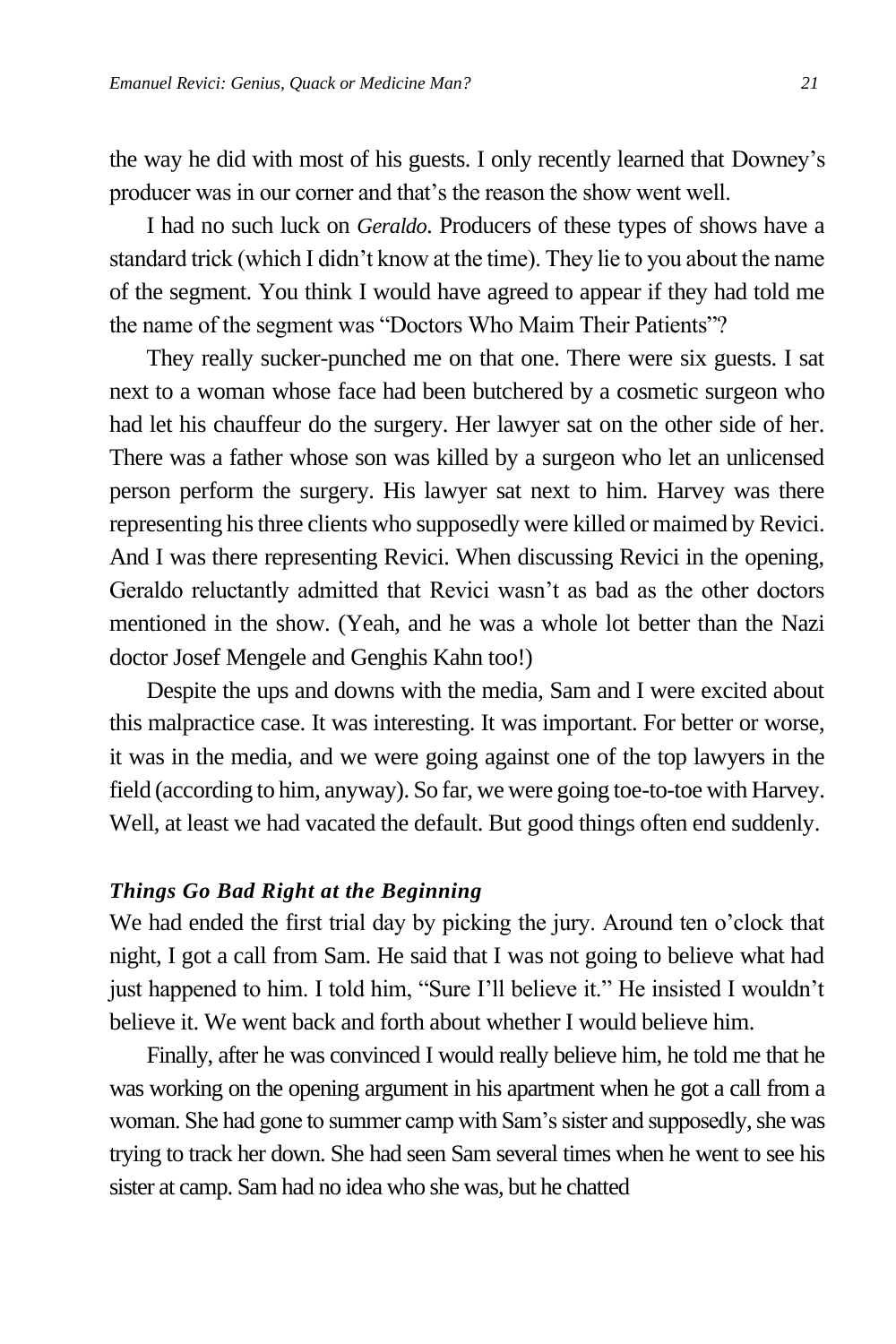the way he did with most of his guests. I only recently learned that Downey's producer was in our corner and that's the reason the show went well.

I had no such luck on *Geraldo*. Producers of these types of shows have a standard trick (which I didn't know at the time). They lie to you about the name of the segment. You think I would have agreed to appear if they had told me the name of the segment was "Doctors Who Maim Their Patients"?

They really sucker-punched me on that one. There were six guests. I sat next to a woman whose face had been butchered by a cosmetic surgeon who had let his chauffeur do the surgery. Her lawyer sat on the other side of her. There was a father whose son was killed by a surgeon who let an unlicensed person perform the surgery. His lawyer sat next to him. Harvey was there representing his three clients who supposedly were killed or maimed by Revici. And I was there representing Revici. When discussing Revici in the opening, Geraldo reluctantly admitted that Revici wasn't as bad as the other doctors mentioned in the show. (Yeah, and he was a whole lot better than the Nazi doctor Josef Mengele and Genghis Kahn too!)

Despite the ups and downs with the media, Sam and I were excited about this malpractice case. It was interesting. It was important. For better or worse, it was in the media, and we were going against one of the top lawyers in the field (according to him, anyway). So far, we were going toe-to-toe with Harvey. Well, at least we had vacated the default. But good things often end suddenly.

## *Things Go Bad Right at the Beginning*

We had ended the first trial day by picking the jury. Around ten o'clock that night, I got a call from Sam. He said that I was not going to believe what had just happened to him. I told him, "Sure I'll believe it." He insisted I wouldn't believe it. We went back and forth about whether I would believe him.

Finally, after he was convinced I would really believe him, he told me that he was working on the opening argument in his apartment when he got a call from a woman. She had gone to summer camp with Sam's sister and supposedly, she was trying to track her down. She had seen Sam several times when he went to see his sister at camp. Sam had no idea who she was, but he chatted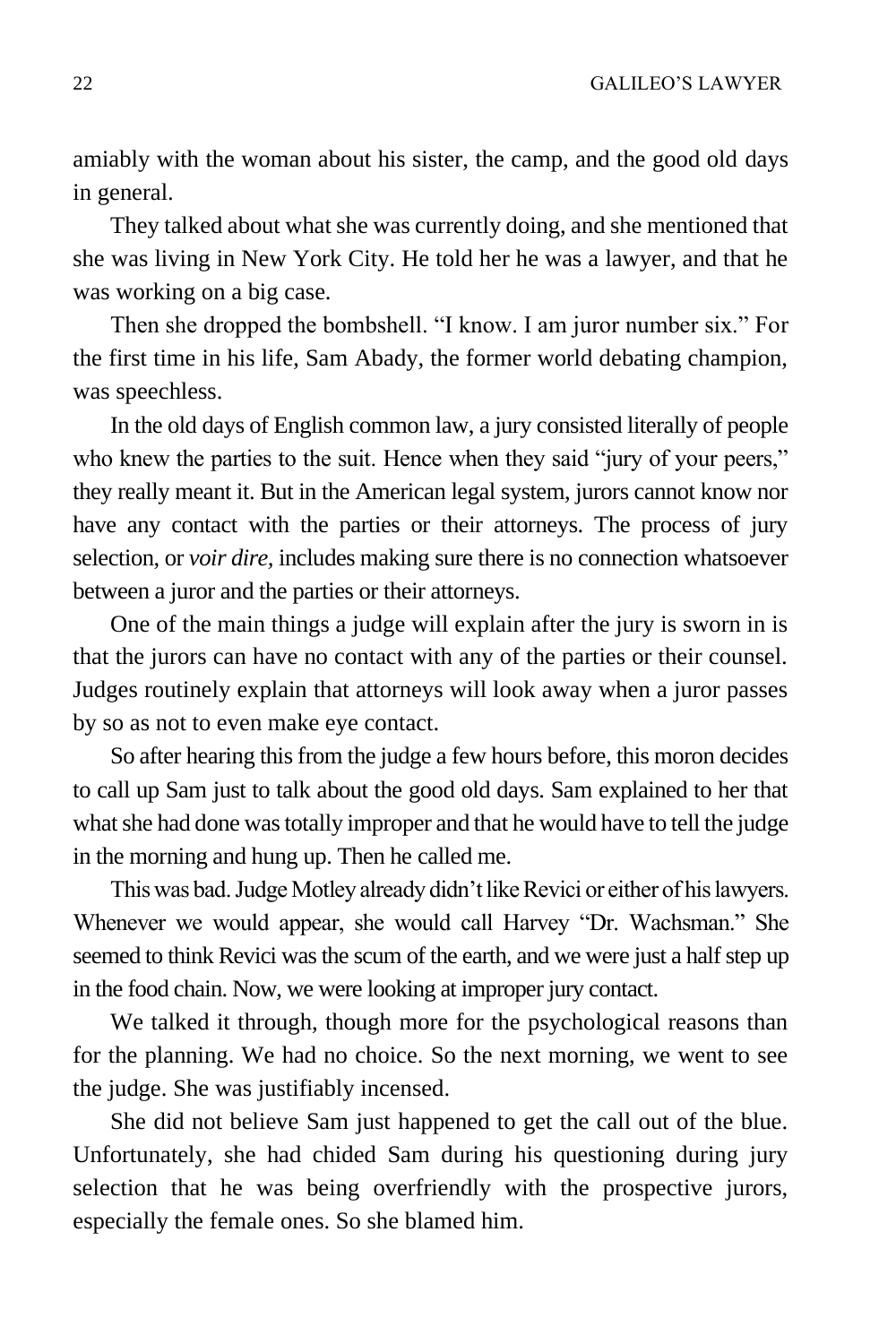amiably with the woman about his sister, the camp, and the good old days in general.

They talked about what she was currently doing, and she mentioned that she was living in New York City. He told her he was a lawyer, and that he was working on a big case.

Then she dropped the bombshell. "I know. I am juror number six." For the first time in his life, Sam Abady, the former world debating champion, was speechless.

In the old days of English common law, a jury consisted literally of people who knew the parties to the suit. Hence when they said "jury of your peers," they really meant it. But in the American legal system, jurors cannot know nor have any contact with the parties or their attorneys. The process of jury selection, or *voir dire,* includes making sure there is no connection whatsoever between a juror and the parties or their attorneys.

One of the main things a judge will explain after the jury is sworn in is that the jurors can have no contact with any of the parties or their counsel. Judges routinely explain that attorneys will look away when a juror passes by so as not to even make eye contact.

So after hearing this from the judge a few hours before, this moron decides to call up Sam just to talk about the good old days. Sam explained to her that what she had done was totally improper and that he would have to tell the judge in the morning and hung up. Then he called me.

This was bad. Judge Motley already didn't like Revici or either of his lawyers. Whenever we would appear, she would call Harvey "Dr. Wachsman." She seemed to think Revici was the scum of the earth, and we were just a half step up in the food chain. Now, we were looking at improper jury contact.

We talked it through, though more for the psychological reasons than for the planning. We had no choice. So the next morning, we went to see the judge. She was justifiably incensed.

She did not believe Sam just happened to get the call out of the blue. Unfortunately, she had chided Sam during his questioning during jury selection that he was being overfriendly with the prospective jurors, especially the female ones. So she blamed him.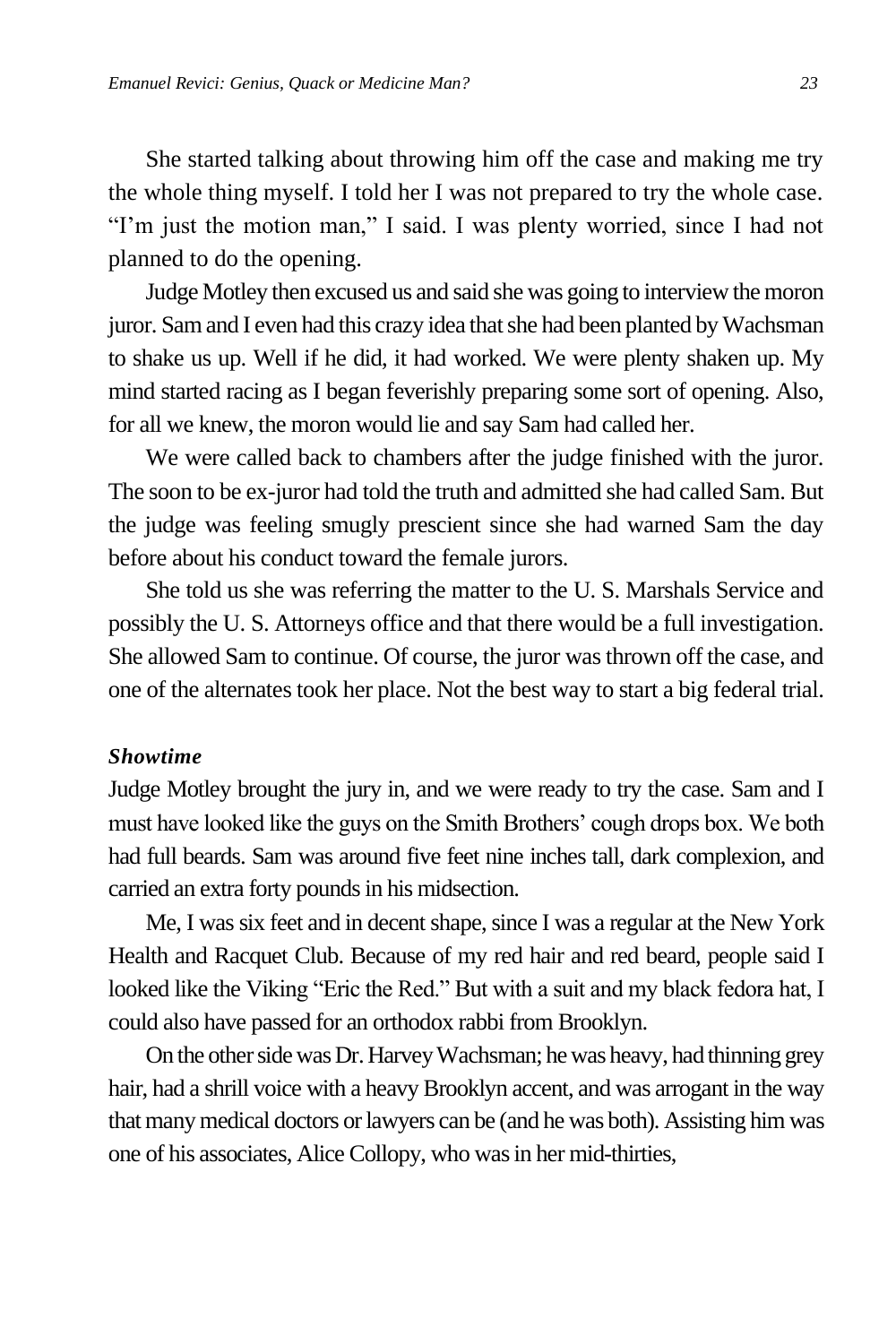She started talking about throwing him off the case and making me try the whole thing myself. I told her I was not prepared to try the whole case. "I'm just the motion man," I said. I was plenty worried, since I had not planned to do the opening.

Judge Motley then excused us and said she was going to interview the moron juror. Sam and I even had this crazy idea that she had been planted by Wachsman to shake us up. Well if he did, it had worked. We were plenty shaken up. My mind started racing as I began feverishly preparing some sort of opening. Also, for all we knew, the moron would lie and say Sam had called her.

We were called back to chambers after the judge finished with the juror. The soon to be ex-juror had told the truth and admitted she had called Sam. But the judge was feeling smugly prescient since she had warned Sam the day before about his conduct toward the female jurors.

She told us she was referring the matter to the U. S. Marshals Service and possibly the U. S. Attorneys office and that there would be a full investigation. She allowed Sam to continue. Of course, the juror was thrown off the case, and one of the alternates took her place. Not the best way to start a big federal trial.

## *Showtime*

Judge Motley brought the jury in, and we were ready to try the case. Sam and I must have looked like the guys on the Smith Brothers' cough drops box. We both had full beards. Sam was around five feet nine inches tall, dark complexion, and carried an extra forty pounds in his midsection.

Me, I was six feet and in decent shape, since I was a regular at the New York Health and Racquet Club. Because of my red hair and red beard, people said I looked like the Viking "Eric the Red." But with a suit and my black fedora hat, I could also have passed for an orthodox rabbi from Brooklyn.

On the other side was Dr. Harvey Wachsman; he was heavy, had thinning grey hair, had a shrill voice with a heavy Brooklyn accent, and was arrogant in the way that many medical doctors or lawyers can be (and he was both). Assisting him was one of his associates, Alice Collopy, who was in her mid-thirties,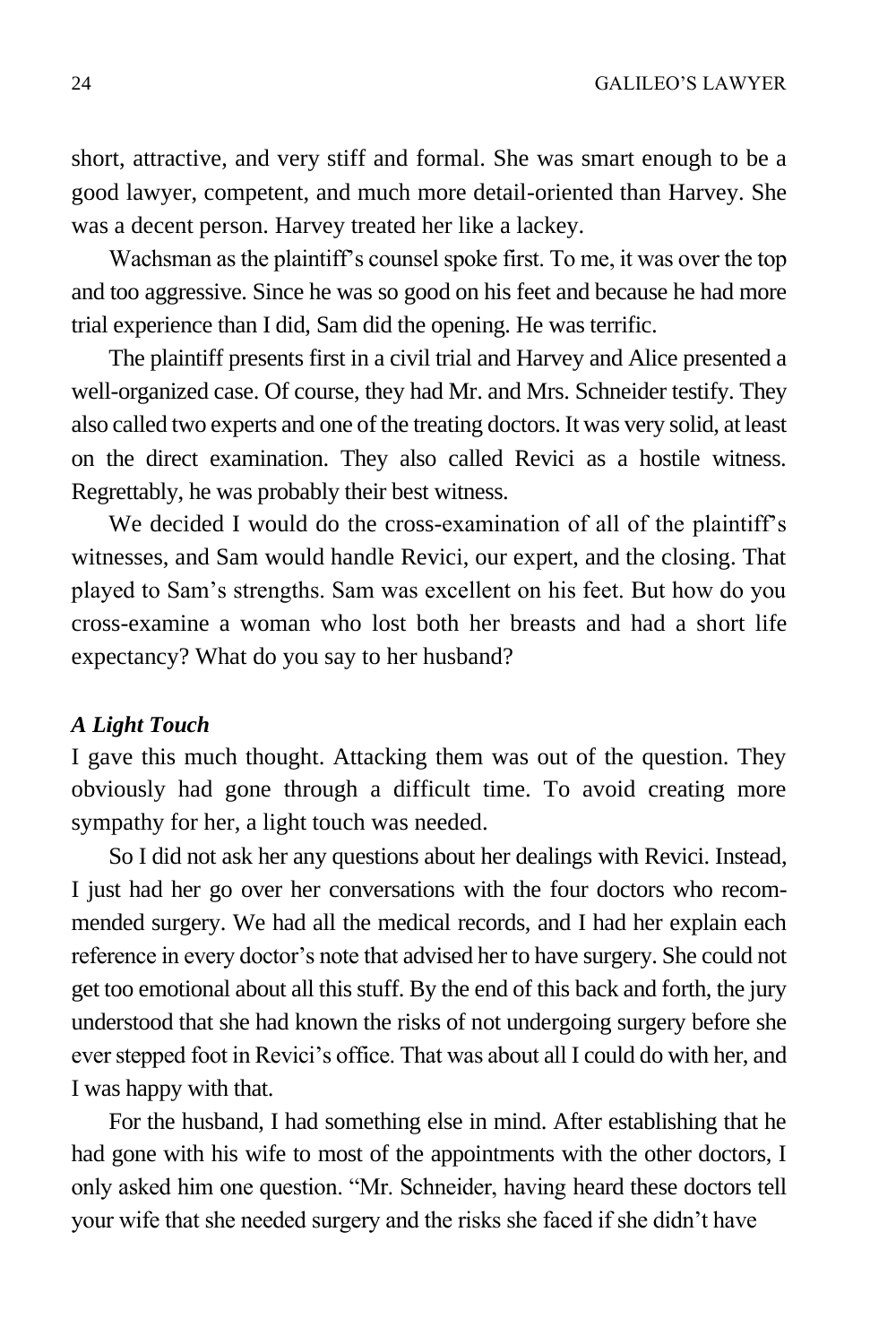short, attractive, and very stiff and formal. She was smart enough to be a good lawyer, competent, and much more detail-oriented than Harvey. She was a decent person. Harvey treated her like a lackey.

Wachsman as the plaintiff's counsel spoke first. To me, it was over the top and too aggressive. Since he was so good on his feet and because he had more trial experience than I did, Sam did the opening. He was terrific.

The plaintiff presents first in a civil trial and Harvey and Alice presented a well-organized case. Of course, they had Mr. and Mrs. Schneider testify. They also called two experts and one of the treating doctors. It was very solid, at least on the direct examination. They also called Revici as a hostile witness. Regrettably, he was probably their best witness.

We decided I would do the cross-examination of all of the plaintiff's witnesses, and Sam would handle Revici, our expert, and the closing. That played to Sam's strengths. Sam was excellent on his feet. But how do you cross-examine a woman who lost both her breasts and had a short life expectancy? What do you say to her husband?

## *A Light Touch*

I gave this much thought. Attacking them was out of the question. They obviously had gone through a difficult time. To avoid creating more sympathy for her, a light touch was needed.

So I did not ask her any questions about her dealings with Revici. Instead, I just had her go over her conversations with the four doctors who recommended surgery. We had all the medical records, and I had her explain each reference in every doctor's note that advised her to have surgery. She could not get too emotional about all this stuff. By the end of this back and forth, the jury understood that she had known the risks of not undergoing surgery before she ever stepped foot in Revici's office. That was about all I could do with her, and I was happy with that.

For the husband, I had something else in mind. After establishing that he had gone with his wife to most of the appointments with the other doctors, I only asked him one question. "Mr. Schneider, having heard these doctors tell your wife that she needed surgery and the risks she faced if she didn't have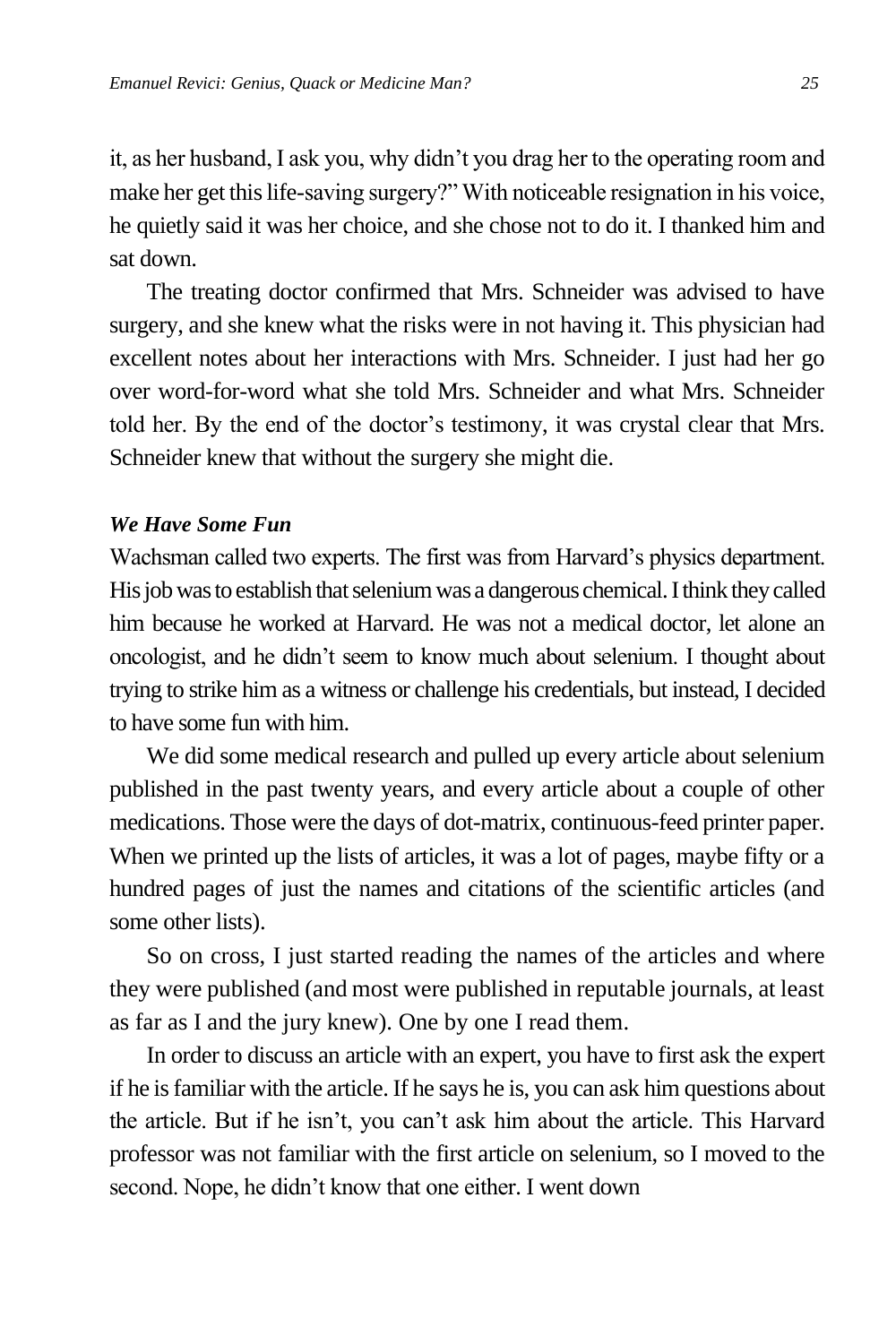it, as her husband, I ask you, why didn't you drag her to the operating room and make her get this life-saving surgery?" With noticeable resignation in his voice, he quietly said it was her choice, and she chose not to do it. I thanked him and sat down.

The treating doctor confirmed that Mrs. Schneider was advised to have surgery, and she knew what the risks were in not having it. This physician had excellent notes about her interactions with Mrs. Schneider. I just had her go over word-for-word what she told Mrs. Schneider and what Mrs. Schneider told her. By the end of the doctor's testimony, it was crystal clear that Mrs. Schneider knew that without the surgery she might die.

## *We Have Some Fun*

Wachsman called two experts. The first was from Harvard's physics department. His job was to establish that selenium was a dangerous chemical. I think they called him because he worked at Harvard. He was not a medical doctor, let alone an oncologist, and he didn't seem to know much about selenium. I thought about trying to strike him as a witness or challenge his credentials, but instead, I decided to have some fun with him.

We did some medical research and pulled up every article about selenium published in the past twenty years, and every article about a couple of other medications. Those were the days of dot-matrix, continuous-feed printer paper. When we printed up the lists of articles, it was a lot of pages, maybe fifty or a hundred pages of just the names and citations of the scientific articles (and some other lists).

So on cross, I just started reading the names of the articles and where they were published (and most were published in reputable journals, at least as far as I and the jury knew). One by one I read them.

In order to discuss an article with an expert, you have to first ask the expert if he is familiar with the article. If he says he is, you can ask him questions about the article. But if he isn't, you can't ask him about the article. This Harvard professor was not familiar with the first article on selenium, so I moved to the second. Nope, he didn't know that one either. I went down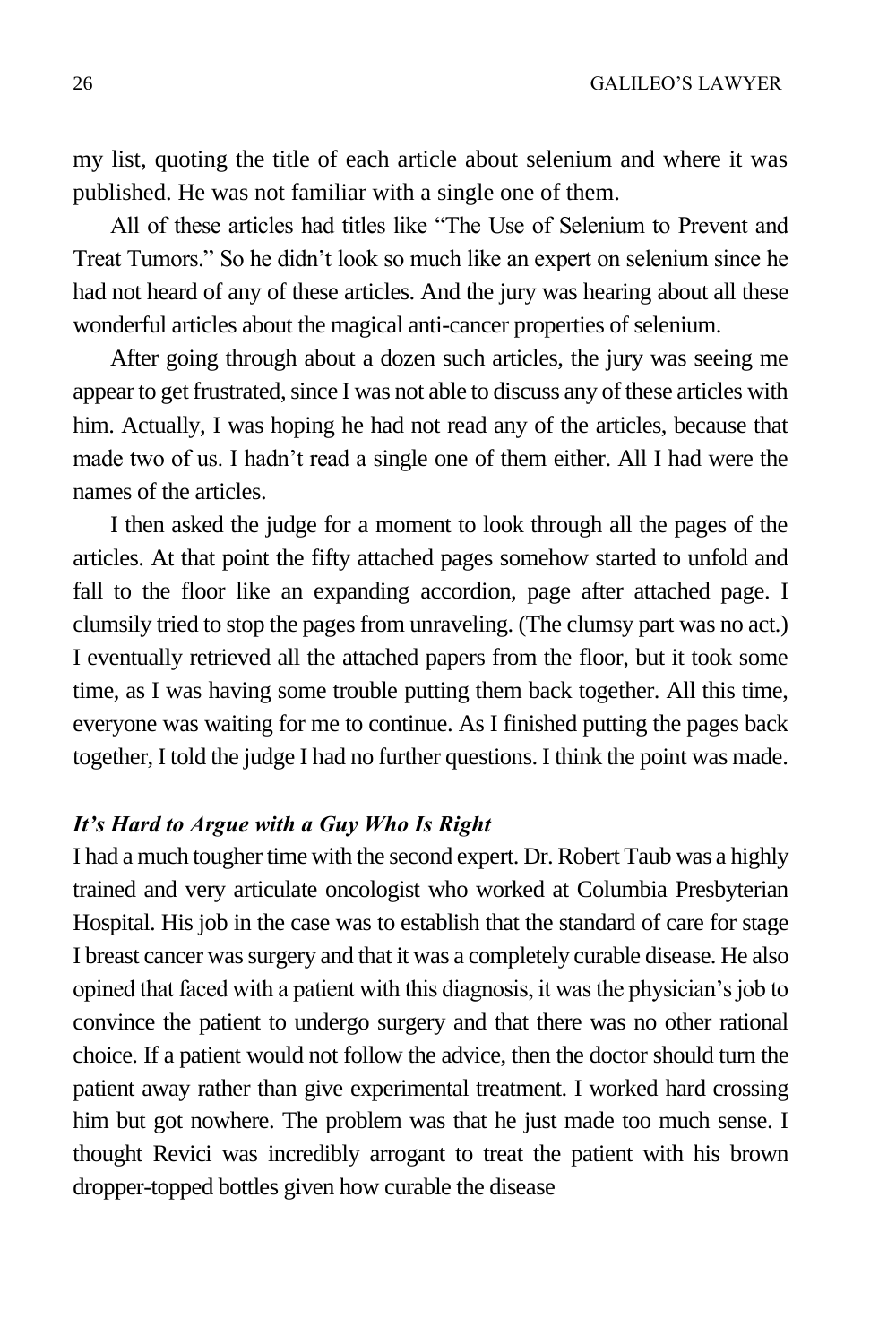26 GALILEO'S LAWYER

my list, quoting the title of each article about selenium and where it was published. He was not familiar with a single one of them.

All of these articles had titles like "The Use of Selenium to Prevent and Treat Tumors." So he didn't look so much like an expert on selenium since he had not heard of any of these articles. And the jury was hearing about all these wonderful articles about the magical anti-cancer properties of selenium.

After going through about a dozen such articles, the jury was seeing me appear to get frustrated, since I was not able to discuss any of these articles with him. Actually, I was hoping he had not read any of the articles, because that made two of us. I hadn't read a single one of them either. All I had were the names of the articles.

I then asked the judge for a moment to look through all the pages of the articles. At that point the fifty attached pages somehow started to unfold and fall to the floor like an expanding accordion, page after attached page. I clumsily tried to stop the pages from unraveling. (The clumsy part was no act.) I eventually retrieved all the attached papers from the floor, but it took some time, as I was having some trouble putting them back together. All this time, everyone was waiting for me to continue. As I finished putting the pages back together, I told the judge I had no further questions. I think the point was made.

## *It's Hard to Argue with a Guy Who Is Right*

I had a much tougher time with the second expert. Dr. Robert Taub was a highly trained and very articulate oncologist who worked at Columbia Presbyterian Hospital. His job in the case was to establish that the standard of care for stage I breast cancer was surgery and that it was a completely curable disease. He also opined that faced with a patient with this diagnosis, it was the physician's job to convince the patient to undergo surgery and that there was no other rational choice. If a patient would not follow the advice, then the doctor should turn the patient away rather than give experimental treatment. I worked hard crossing him but got nowhere. The problem was that he just made too much sense. I thought Revici was incredibly arrogant to treat the patient with his brown dropper-topped bottles given how curable the disease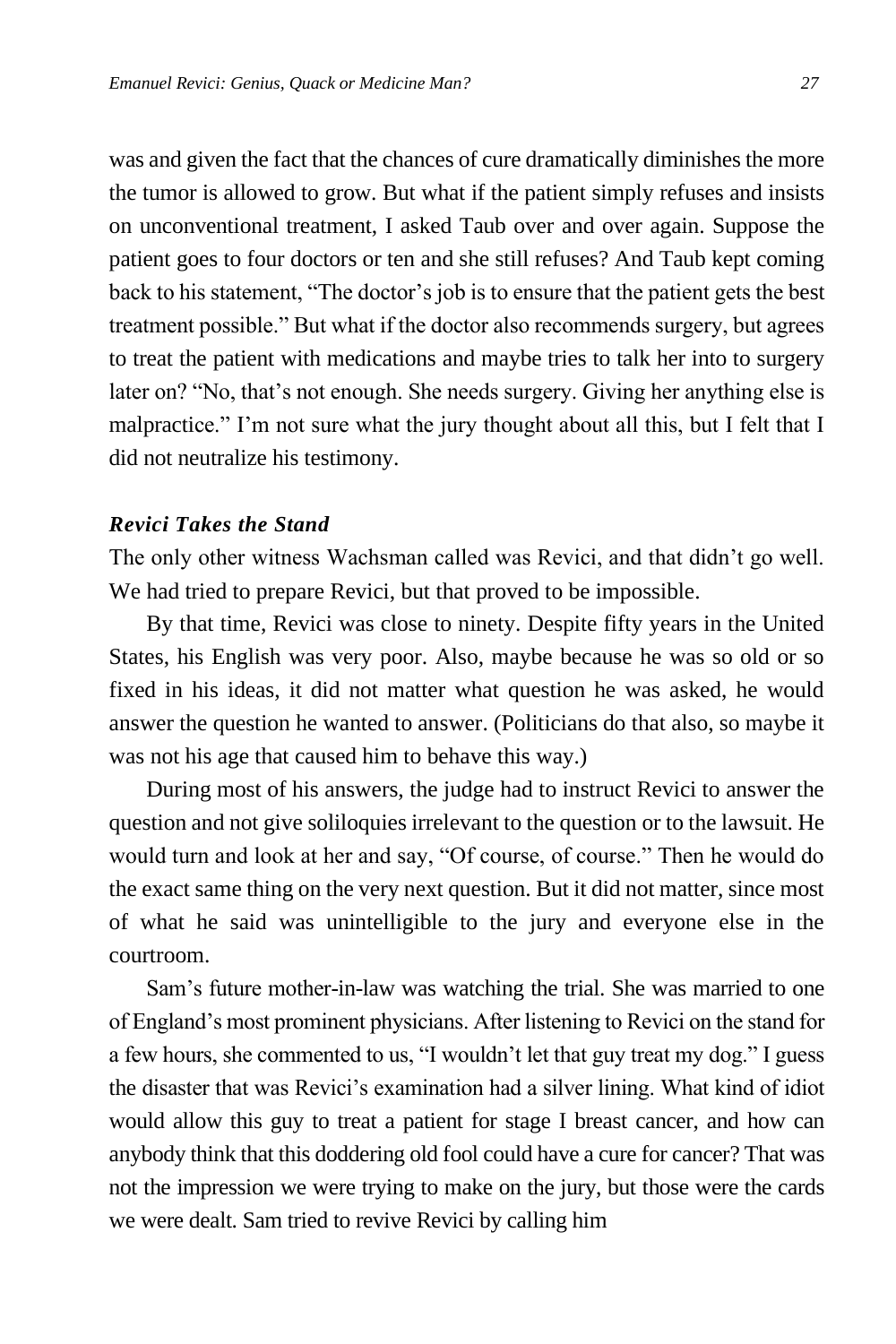was and given the fact that the chances of cure dramatically diminishes the more the tumor is allowed to grow. But what if the patient simply refuses and insists on unconventional treatment, I asked Taub over and over again. Suppose the patient goes to four doctors or ten and she still refuses? And Taub kept coming back to his statement, "The doctor's job is to ensure that the patient gets the best treatment possible." But what if the doctor also recommends surgery, but agrees to treat the patient with medications and maybe tries to talk her into to surgery later on? "No, that's not enough. She needs surgery. Giving her anything else is malpractice." I'm not sure what the jury thought about all this, but I felt that I did not neutralize his testimony.

## *Revici Takes the Stand*

The only other witness Wachsman called was Revici, and that didn't go well. We had tried to prepare Revici, but that proved to be impossible.

By that time, Revici was close to ninety. Despite fifty years in the United States, his English was very poor. Also, maybe because he was so old or so fixed in his ideas, it did not matter what question he was asked, he would answer the question he wanted to answer. (Politicians do that also, so maybe it was not his age that caused him to behave this way.)

During most of his answers, the judge had to instruct Revici to answer the question and not give soliloquies irrelevant to the question or to the lawsuit. He would turn and look at her and say, "Of course, of course." Then he would do the exact same thing on the very next question. But it did not matter, since most of what he said was unintelligible to the jury and everyone else in the courtroom.

Sam's future mother-in-law was watching the trial. She was married to one of England's most prominent physicians. After listening to Revici on the stand for a few hours, she commented to us, "I wouldn't let that guy treat my dog." I guess the disaster that was Revici's examination had a silver lining. What kind of idiot would allow this guy to treat a patient for stage I breast cancer, and how can anybody think that this doddering old fool could have a cure for cancer? That was not the impression we were trying to make on the jury, but those were the cards we were dealt. Sam tried to revive Revici by calling him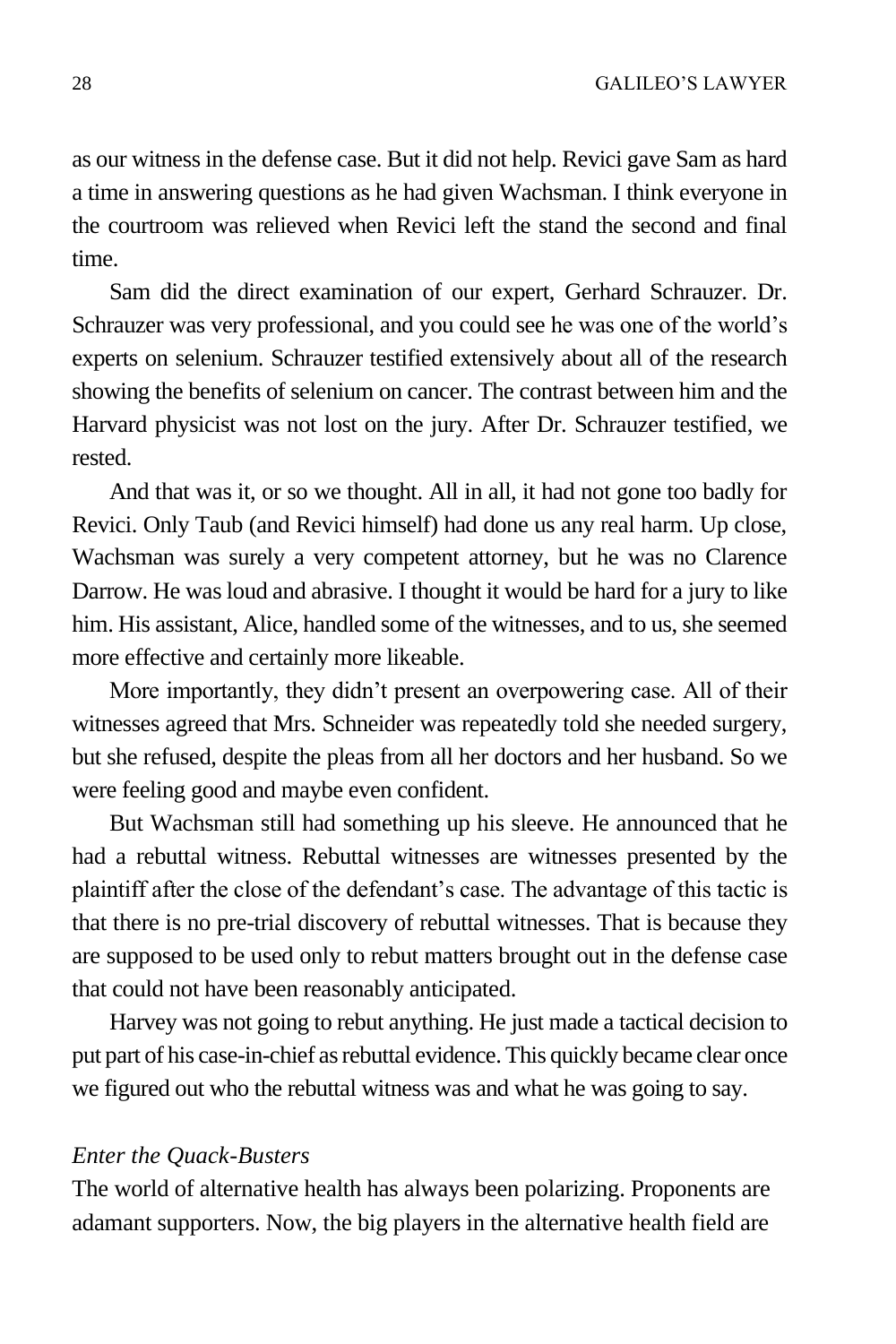as our witness in the defense case. But it did not help. Revici gave Sam as hard a time in answering questions as he had given Wachsman. I think everyone in the courtroom was relieved when Revici left the stand the second and final time.

Sam did the direct examination of our expert, Gerhard Schrauzer. Dr. Schrauzer was very professional, and you could see he was one of the world's experts on selenium. Schrauzer testified extensively about all of the research showing the benefits of selenium on cancer. The contrast between him and the Harvard physicist was not lost on the jury. After Dr. Schrauzer testified, we rested.

And that was it, or so we thought. All in all, it had not gone too badly for Revici. Only Taub (and Revici himself) had done us any real harm. Up close, Wachsman was surely a very competent attorney, but he was no Clarence Darrow. He was loud and abrasive. I thought it would be hard for a jury to like him. His assistant, Alice, handled some of the witnesses, and to us, she seemed more effective and certainly more likeable.

More importantly, they didn't present an overpowering case. All of their witnesses agreed that Mrs. Schneider was repeatedly told she needed surgery, but she refused, despite the pleas from all her doctors and her husband. So we were feeling good and maybe even confident.

But Wachsman still had something up his sleeve. He announced that he had a rebuttal witness. Rebuttal witnesses are witnesses presented by the plaintiff after the close of the defendant's case. The advantage of this tactic is that there is no pre-trial discovery of rebuttal witnesses. That is because they are supposed to be used only to rebut matters brought out in the defense case that could not have been reasonably anticipated.

Harvey was not going to rebut anything. He just made a tactical decision to put part of his case-in-chief as rebuttal evidence. This quickly became clear once we figured out who the rebuttal witness was and what he was going to say.

## *Enter the Quack-Busters*

The world of alternative health has always been polarizing. Proponents are adamant supporters. Now, the big players in the alternative health field are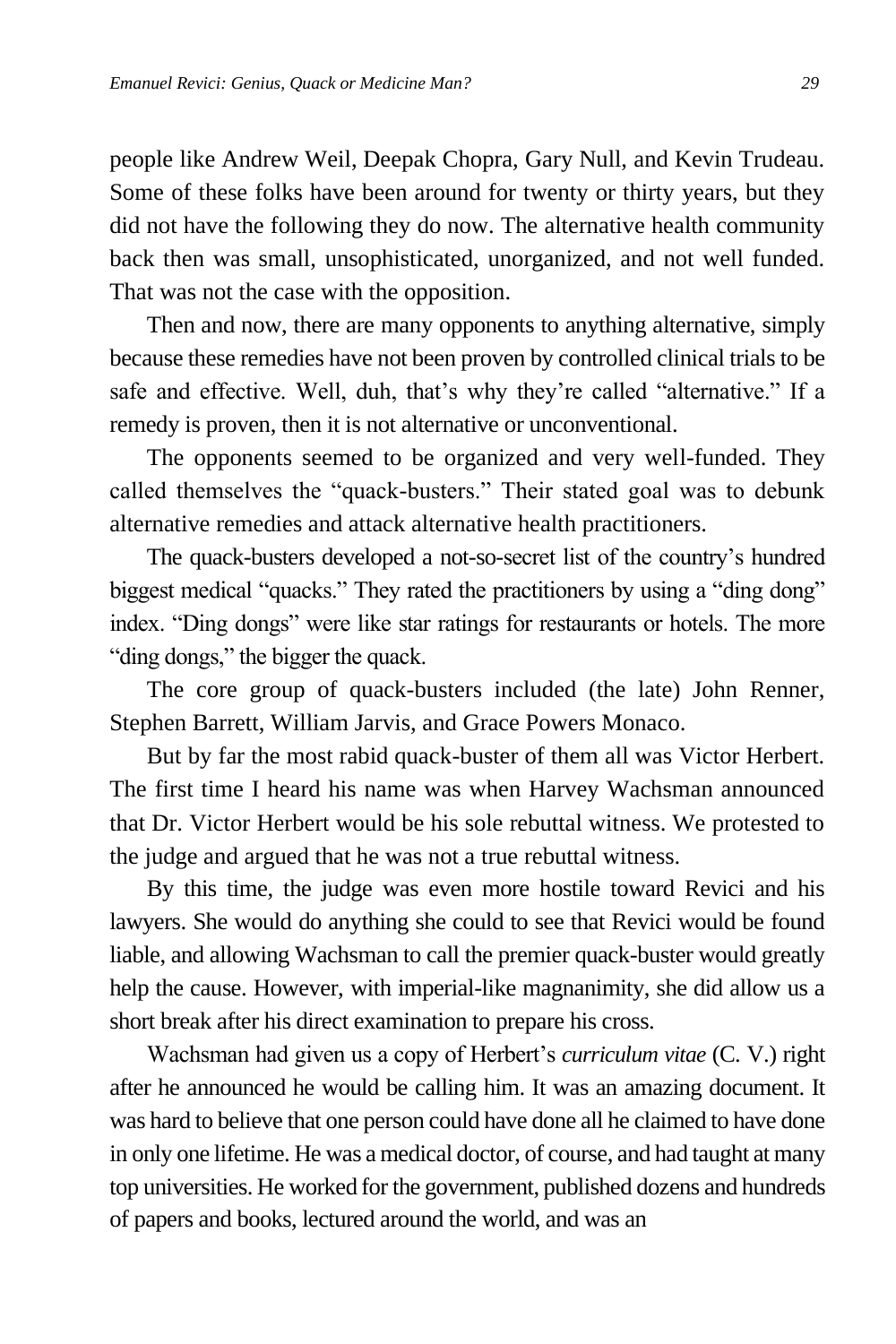people like Andrew Weil, Deepak Chopra, Gary Null, and Kevin Trudeau. Some of these folks have been around for twenty or thirty years, but they did not have the following they do now. The alternative health community back then was small, unsophisticated, unorganized, and not well funded. That was not the case with the opposition.

Then and now, there are many opponents to anything alternative, simply because these remedies have not been proven by controlled clinical trials to be safe and effective. Well, duh, that's why they're called "alternative." If a remedy is proven, then it is not alternative or unconventional.

The opponents seemed to be organized and very well-funded. They called themselves the "quack-busters." Their stated goal was to debunk alternative remedies and attack alternative health practitioners.

The quack-busters developed a not-so-secret list of the country's hundred biggest medical "quacks." They rated the practitioners by using a "ding dong" index. "Ding dongs" were like star ratings for restaurants or hotels. The more "ding dongs," the bigger the quack.

The core group of quack-busters included (the late) John Renner, Stephen Barrett, William Jarvis, and Grace Powers Monaco.

But by far the most rabid quack-buster of them all was Victor Herbert. The first time I heard his name was when Harvey Wachsman announced that Dr. Victor Herbert would be his sole rebuttal witness. We protested to the judge and argued that he was not a true rebuttal witness.

By this time, the judge was even more hostile toward Revici and his lawyers. She would do anything she could to see that Revici would be found liable, and allowing Wachsman to call the premier quack-buster would greatly help the cause. However, with imperial-like magnanimity, she did allow us a short break after his direct examination to prepare his cross.

Wachsman had given us a copy of Herbert's *curriculum vitae* (C. V.) right after he announced he would be calling him. It was an amazing document. It was hard to believe that one person could have done all he claimed to have done in only one lifetime. He was a medical doctor, of course, and had taught at many top universities. He worked for the government, published dozens and hundreds of papers and books, lectured around the world, and was an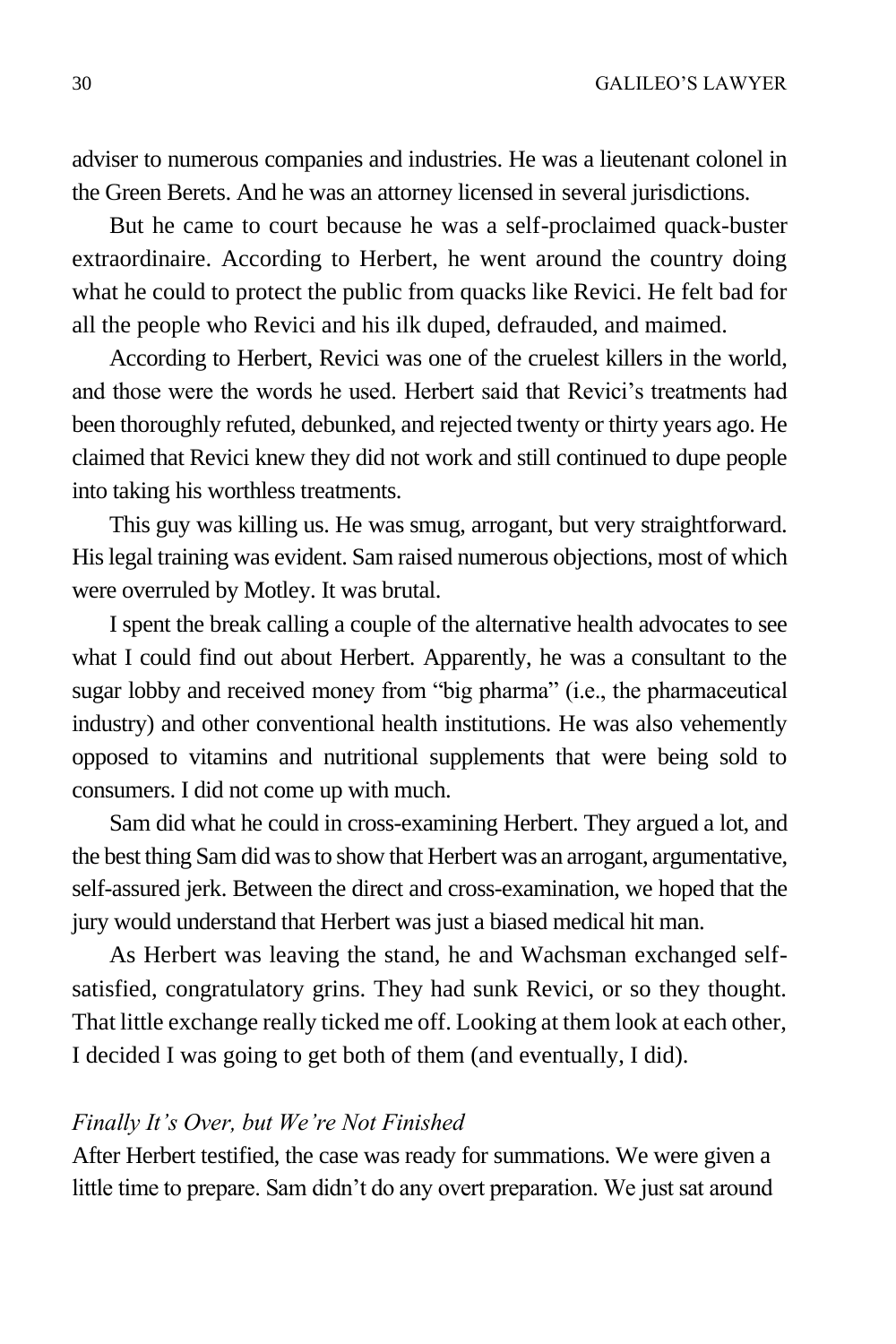adviser to numerous companies and industries. He was a lieutenant colonel in the Green Berets. And he was an attorney licensed in several jurisdictions.

But he came to court because he was a self-proclaimed quack-buster extraordinaire. According to Herbert, he went around the country doing what he could to protect the public from quacks like Revici. He felt bad for all the people who Revici and his ilk duped, defrauded, and maimed.

According to Herbert, Revici was one of the cruelest killers in the world, and those were the words he used. Herbert said that Revici's treatments had been thoroughly refuted, debunked, and rejected twenty or thirty years ago. He claimed that Revici knew they did not work and still continued to dupe people into taking his worthless treatments.

This guy was killing us. He was smug, arrogant, but very straightforward. His legal training was evident. Sam raised numerous objections, most of which were overruled by Motley. It was brutal.

I spent the break calling a couple of the alternative health advocates to see what I could find out about Herbert. Apparently, he was a consultant to the sugar lobby and received money from "big pharma" (i.e., the pharmaceutical industry) and other conventional health institutions. He was also vehemently opposed to vitamins and nutritional supplements that were being sold to consumers. I did not come up with much.

Sam did what he could in cross-examining Herbert. They argued a lot, and the best thing Sam did was to show that Herbert was an arrogant, argumentative, self-assured jerk. Between the direct and cross-examination, we hoped that the jury would understand that Herbert was just a biased medical hit man.

As Herbert was leaving the stand, he and Wachsman exchanged selfsatisfied, congratulatory grins. They had sunk Revici, or so they thought. That little exchange really ticked me off. Looking at them look at each other, I decided I was going to get both of them (and eventually, I did).

## *Finally It's Over, but We're Not Finished*

After Herbert testified, the case was ready for summations. We were given a little time to prepare. Sam didn't do any overt preparation. We just sat around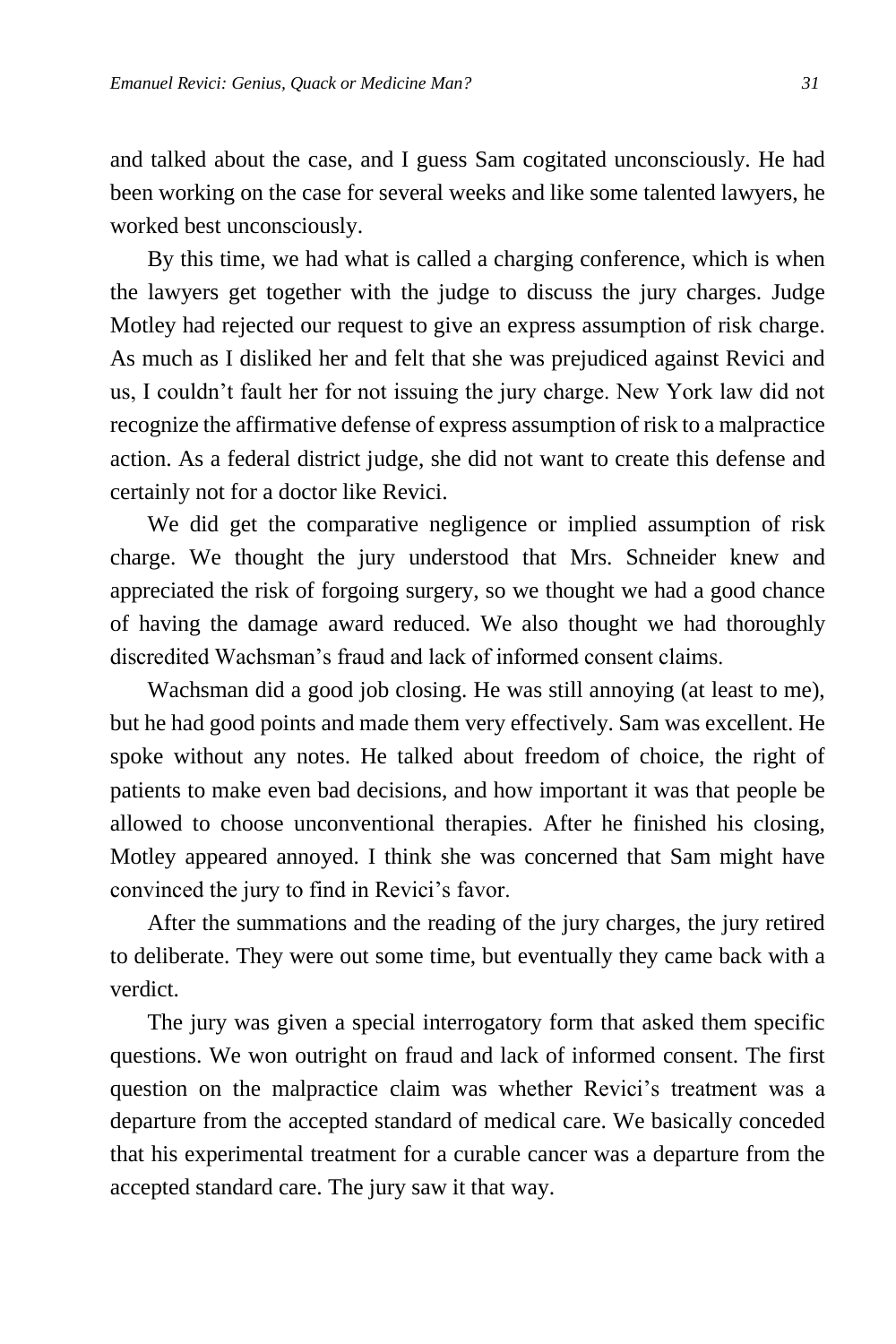and talked about the case, and I guess Sam cogitated unconsciously. He had been working on the case for several weeks and like some talented lawyers, he worked best unconsciously.

By this time, we had what is called a charging conference, which is when the lawyers get together with the judge to discuss the jury charges. Judge Motley had rejected our request to give an express assumption of risk charge. As much as I disliked her and felt that she was prejudiced against Revici and us, I couldn't fault her for not issuing the jury charge. New York law did not recognize the affirmative defense of express assumption of risk to a malpractice action. As a federal district judge, she did not want to create this defense and certainly not for a doctor like Revici.

We did get the comparative negligence or implied assumption of risk charge. We thought the jury understood that Mrs. Schneider knew and appreciated the risk of forgoing surgery, so we thought we had a good chance of having the damage award reduced. We also thought we had thoroughly discredited Wachsman's fraud and lack of informed consent claims.

Wachsman did a good job closing. He was still annoying (at least to me), but he had good points and made them very effectively. Sam was excellent. He spoke without any notes. He talked about freedom of choice, the right of patients to make even bad decisions, and how important it was that people be allowed to choose unconventional therapies. After he finished his closing, Motley appeared annoyed. I think she was concerned that Sam might have convinced the jury to find in Revici's favor.

After the summations and the reading of the jury charges, the jury retired to deliberate. They were out some time, but eventually they came back with a verdict.

The jury was given a special interrogatory form that asked them specific questions. We won outright on fraud and lack of informed consent. The first question on the malpractice claim was whether Revici's treatment was a departure from the accepted standard of medical care. We basically conceded that his experimental treatment for a curable cancer was a departure from the accepted standard care. The jury saw it that way.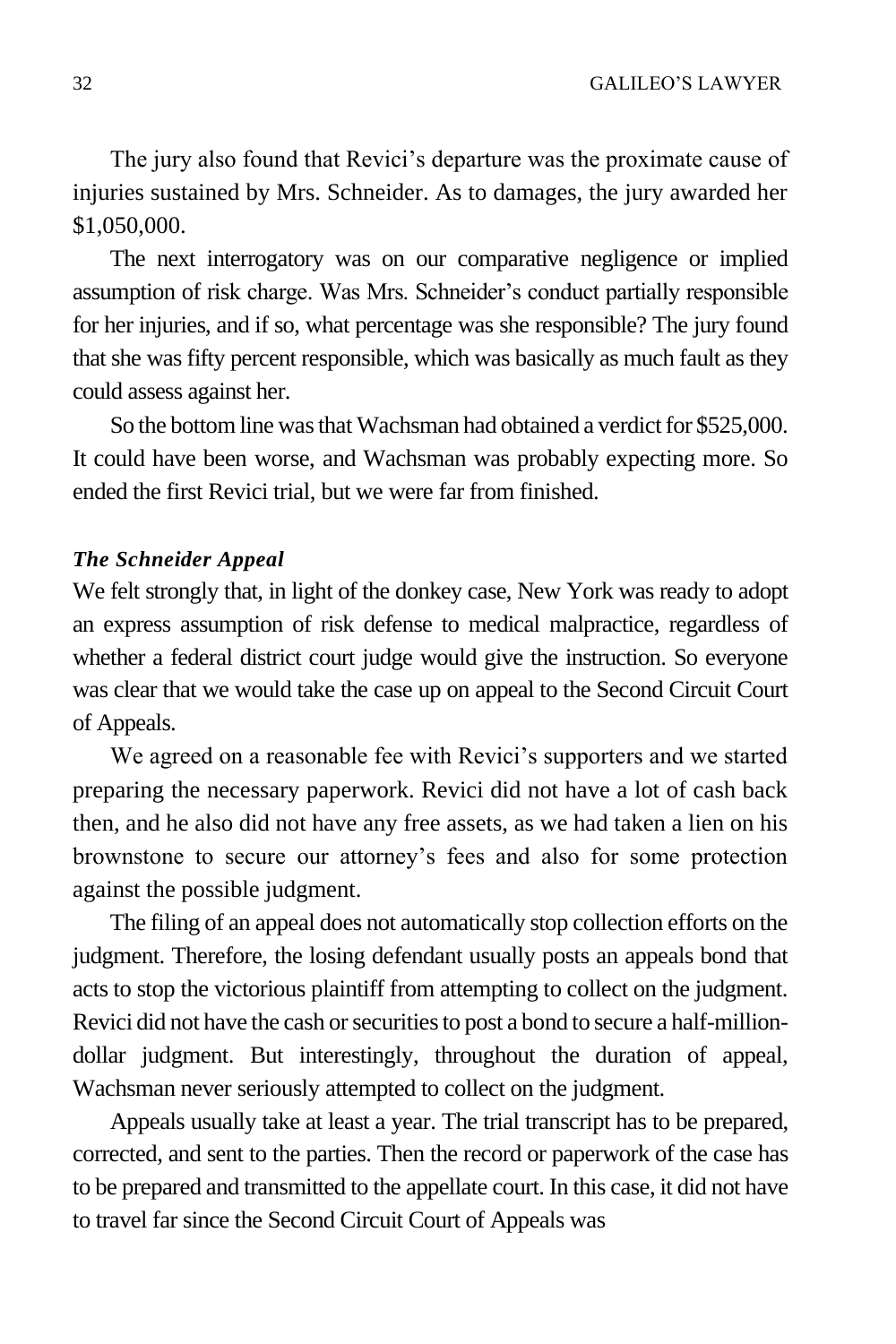The jury also found that Revici's departure was the proximate cause of injuries sustained by Mrs. Schneider. As to damages, the jury awarded her \$1,050,000.

The next interrogatory was on our comparative negligence or implied assumption of risk charge. Was Mrs. Schneider's conduct partially responsible for her injuries, and if so, what percentage was she responsible? The jury found that she was fifty percent responsible, which was basically as much fault as they could assess against her.

So the bottom line was that Wachsman had obtained a verdict for \$525,000. It could have been worse, and Wachsman was probably expecting more. So ended the first Revici trial, but we were far from finished.

## *The Schneider Appeal*

We felt strongly that, in light of the donkey case, New York was ready to adopt an express assumption of risk defense to medical malpractice, regardless of whether a federal district court judge would give the instruction. So everyone was clear that we would take the case up on appeal to the Second Circuit Court of Appeals.

We agreed on a reasonable fee with Revici's supporters and we started preparing the necessary paperwork. Revici did not have a lot of cash back then, and he also did not have any free assets, as we had taken a lien on his brownstone to secure our attorney's fees and also for some protection against the possible judgment.

The filing of an appeal does not automatically stop collection efforts on the judgment. Therefore, the losing defendant usually posts an appeals bond that acts to stop the victorious plaintiff from attempting to collect on the judgment. Revici did not have the cash or securities to post a bond to secure a half-milliondollar judgment. But interestingly, throughout the duration of appeal, Wachsman never seriously attempted to collect on the judgment.

Appeals usually take at least a year. The trial transcript has to be prepared, corrected, and sent to the parties. Then the record or paperwork of the case has to be prepared and transmitted to the appellate court. In this case, it did not have to travel far since the Second Circuit Court of Appeals was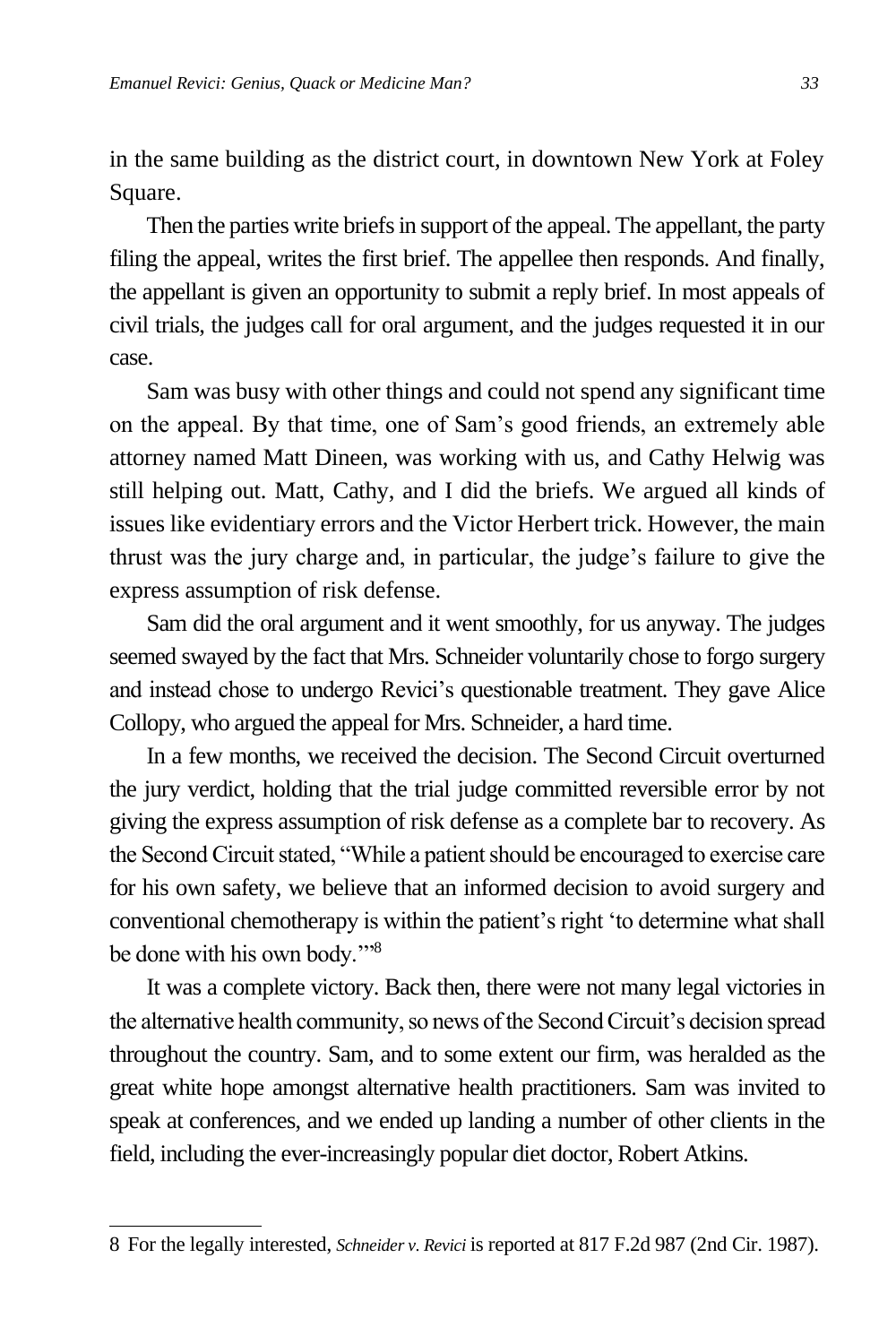in the same building as the district court, in downtown New York at Foley Square.

Then the parties write briefs in support of the appeal. The appellant, the party filing the appeal, writes the first brief. The appellee then responds. And finally, the appellant is given an opportunity to submit a reply brief. In most appeals of civil trials, the judges call for oral argument, and the judges requested it in our case.

Sam was busy with other things and could not spend any significant time on the appeal. By that time, one of Sam's good friends, an extremely able attorney named Matt Dineen, was working with us, and Cathy Helwig was still helping out. Matt, Cathy, and I did the briefs. We argued all kinds of issues like evidentiary errors and the Victor Herbert trick. However, the main thrust was the jury charge and, in particular, the judge's failure to give the express assumption of risk defense.

Sam did the oral argument and it went smoothly, for us anyway. The judges seemed swayed by the fact that Mrs. Schneider voluntarily chose to forgo surgery and instead chose to undergo Revici's questionable treatment. They gave Alice Collopy, who argued the appeal for Mrs. Schneider, a hard time.

In a few months, we received the decision. The Second Circuit overturned the jury verdict, holding that the trial judge committed reversible error by not giving the express assumption of risk defense as a complete bar to recovery. As the Second Circuit stated, "While a patient should be encouraged to exercise care for his own safety, we believe that an informed decision to avoid surgery and conventional chemotherapy is within the patient's right 'to determine what shall be done with his own body."<sup>8</sup>

It was a complete victory. Back then, there were not many legal victories in the alternative health community, so news of the Second Circuit's decision spread throughout the country. Sam, and to some extent our firm, was heralded as the great white hope amongst alternative health practitioners. Sam was invited to speak at conferences, and we ended up landing a number of other clients in the field, including the ever-increasingly popular diet doctor, Robert Atkins.

<sup>8</sup> For the legally interested, *Schneider v. Revici* is reported at 817 F.2d 987 (2nd Cir. 1987).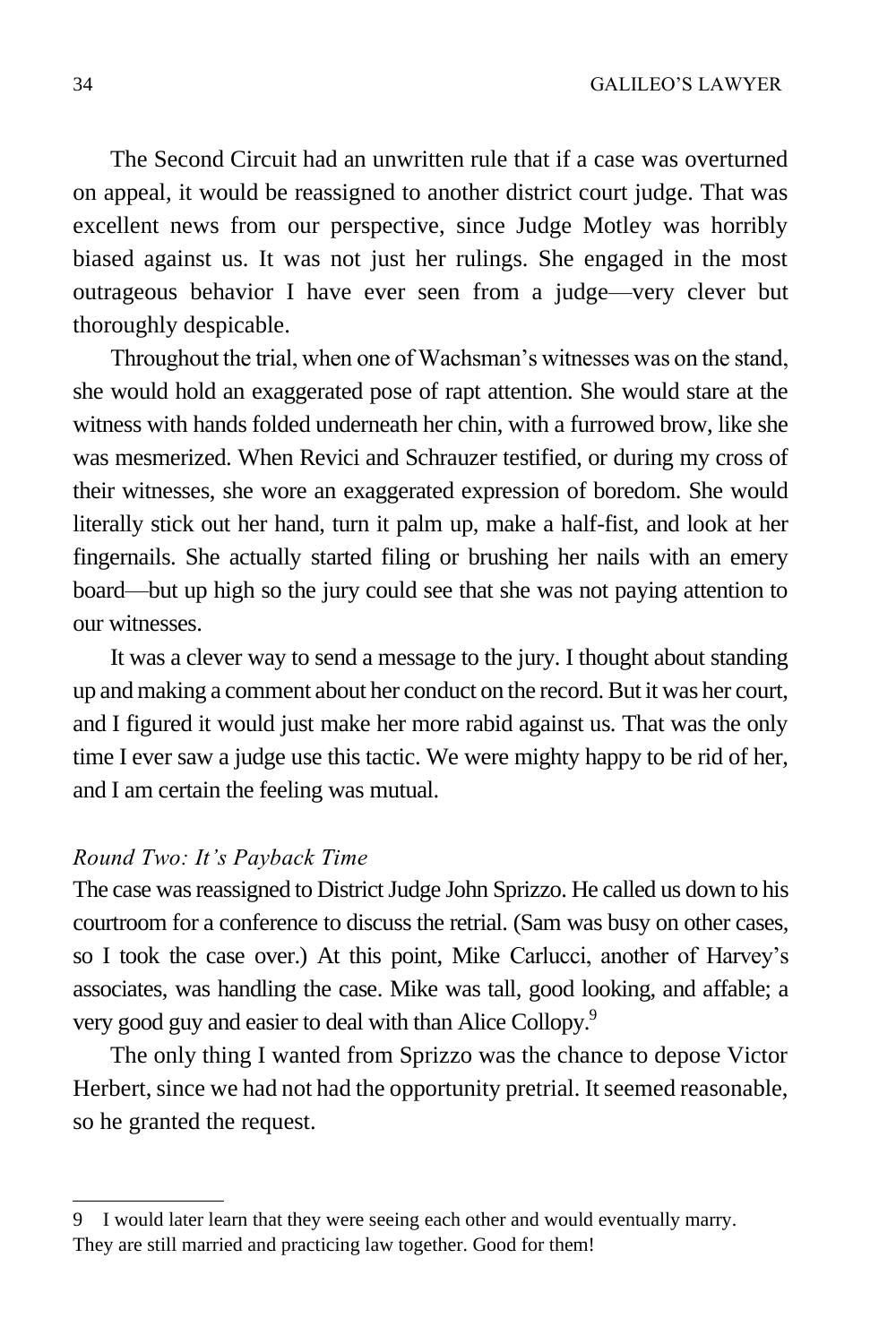The Second Circuit had an unwritten rule that if a case was overturned on appeal, it would be reassigned to another district court judge. That was excellent news from our perspective, since Judge Motley was horribly biased against us. It was not just her rulings. She engaged in the most outrageous behavior I have ever seen from a judge—very clever but thoroughly despicable.

Throughout the trial, when one of Wachsman's witnesses was on the stand, she would hold an exaggerated pose of rapt attention. She would stare at the witness with hands folded underneath her chin, with a furrowed brow, like she was mesmerized. When Revici and Schrauzer testified, or during my cross of their witnesses, she wore an exaggerated expression of boredom. She would literally stick out her hand, turn it palm up, make a half-fist, and look at her fingernails. She actually started filing or brushing her nails with an emery board—but up high so the jury could see that she was not paying attention to our witnesses.

It was a clever way to send a message to the jury. I thought about standing up and making a comment about her conduct on the record. But it was her court, and I figured it would just make her more rabid against us. That was the only time I ever saw a judge use this tactic. We were mighty happy to be rid of her, and I am certain the feeling was mutual.

#### *Round Two: It's Payback Time*

The case was reassigned to District Judge John Sprizzo. He called us down to his courtroom for a conference to discuss the retrial. (Sam was busy on other cases, so I took the case over.) At this point, Mike Carlucci, another of Harvey's associates, was handling the case. Mike was tall, good looking, and affable; a very good guy and easier to deal with than Alice Collopy.<sup>9</sup>

The only thing I wanted from Sprizzo was the chance to depose Victor Herbert, since we had not had the opportunity pretrial. It seemed reasonable, so he granted the request.

<sup>9</sup> I would later learn that they were seeing each other and would eventually marry. They are still married and practicing law together. Good for them!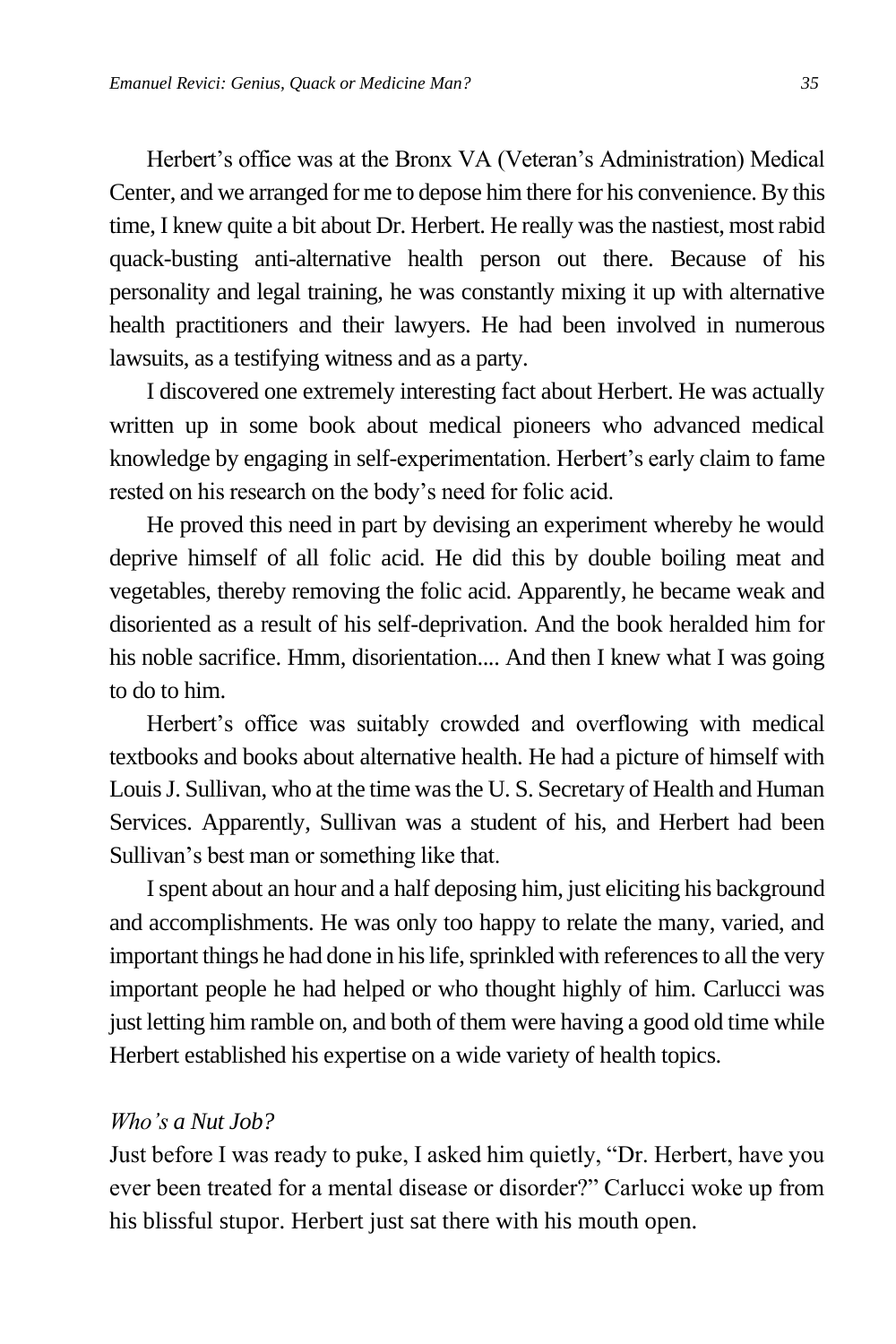Herbert's office was at the Bronx VA (Veteran's Administration) Medical Center, and we arranged for me to depose him there for his convenience. By this time, I knew quite a bit about Dr. Herbert. He really was the nastiest, most rabid quack-busting anti-alternative health person out there. Because of his personality and legal training, he was constantly mixing it up with alternative health practitioners and their lawyers. He had been involved in numerous lawsuits, as a testifying witness and as a party.

I discovered one extremely interesting fact about Herbert. He was actually written up in some book about medical pioneers who advanced medical knowledge by engaging in self-experimentation. Herbert's early claim to fame rested on his research on the body's need for folic acid.

He proved this need in part by devising an experiment whereby he would deprive himself of all folic acid. He did this by double boiling meat and vegetables, thereby removing the folic acid. Apparently, he became weak and disoriented as a result of his self-deprivation. And the book heralded him for his noble sacrifice. Hmm, disorientation.... And then I knew what I was going to do to him.

Herbert's office was suitably crowded and overflowing with medical textbooks and books about alternative health. He had a picture of himself with Louis J. Sullivan, who at the time was the U. S. Secretary of Health and Human Services. Apparently, Sullivan was a student of his, and Herbert had been Sullivan's best man or something like that.

I spent about an hour and a half deposing him, just eliciting his background and accomplishments. He was only too happy to relate the many, varied, and important things he had done in his life, sprinkled with references to all the very important people he had helped or who thought highly of him. Carlucci was just letting him ramble on, and both of them were having a good old time while Herbert established his expertise on a wide variety of health topics.

#### *Who's a Nut Job?*

Just before I was ready to puke, I asked him quietly, "Dr. Herbert, have you ever been treated for a mental disease or disorder?" Carlucci woke up from his blissful stupor. Herbert just sat there with his mouth open.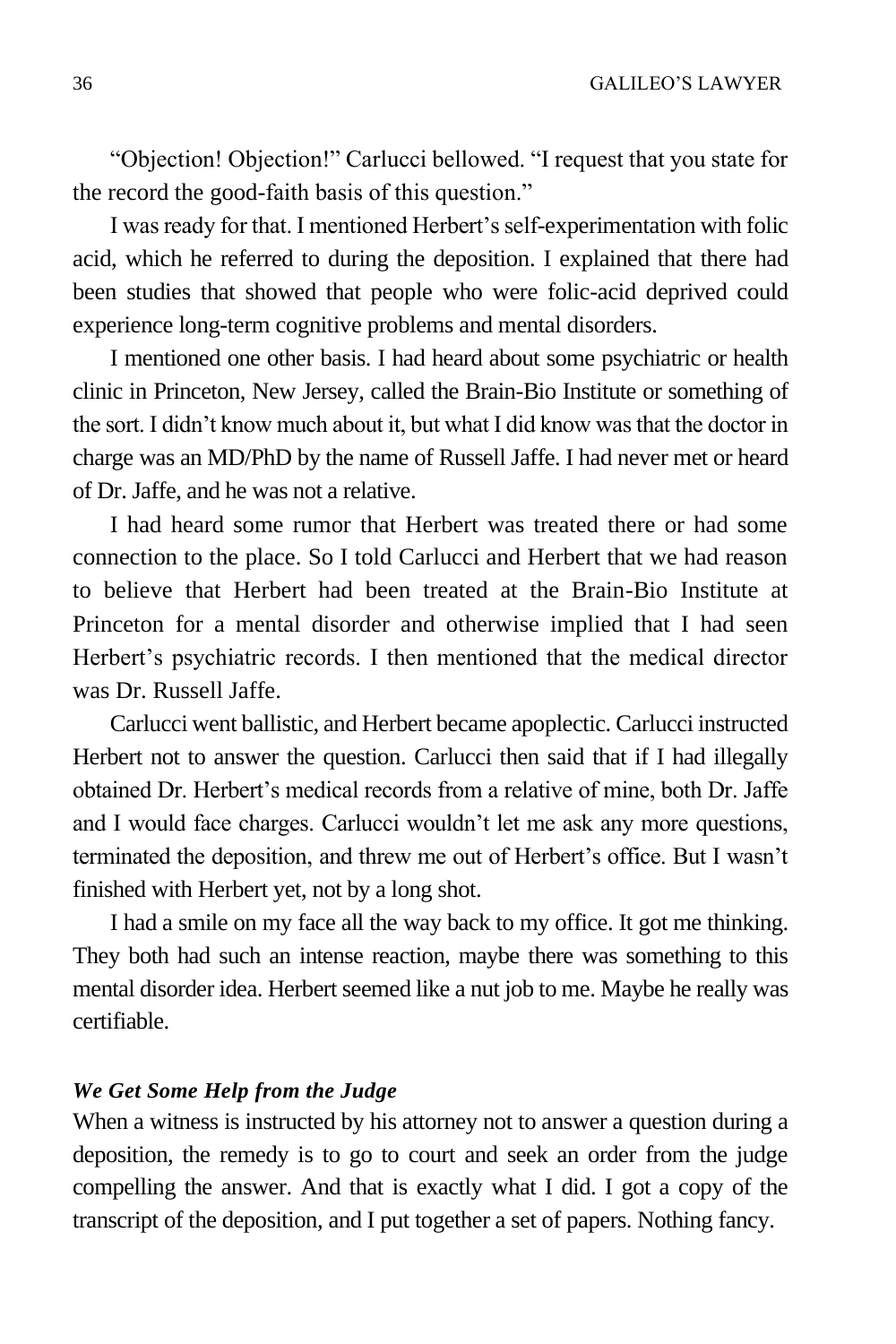"Objection! Objection!" Carlucci bellowed. "I request that you state for the record the good-faith basis of this question."

I was ready for that. I mentioned Herbert's self-experimentation with folic acid, which he referred to during the deposition. I explained that there had been studies that showed that people who were folic-acid deprived could experience long-term cognitive problems and mental disorders.

I mentioned one other basis. I had heard about some psychiatric or health clinic in Princeton, New Jersey, called the Brain-Bio Institute or something of the sort. I didn't know much about it, but what I did know was that the doctor in charge was an MD/PhD by the name of Russell Jaffe. I had never met or heard of Dr. Jaffe, and he was not a relative.

I had heard some rumor that Herbert was treated there or had some connection to the place. So I told Carlucci and Herbert that we had reason to believe that Herbert had been treated at the Brain-Bio Institute at Princeton for a mental disorder and otherwise implied that I had seen Herbert's psychiatric records. I then mentioned that the medical director was Dr. Russell Jaffe.

Carlucci went ballistic, and Herbert became apoplectic. Carlucci instructed Herbert not to answer the question. Carlucci then said that if I had illegally obtained Dr. Herbert's medical records from a relative of mine, both Dr. Jaffe and I would face charges. Carlucci wouldn't let me ask any more questions, terminated the deposition, and threw me out of Herbert's office. But I wasn't finished with Herbert yet, not by a long shot.

I had a smile on my face all the way back to my office. It got me thinking. They both had such an intense reaction, maybe there was something to this mental disorder idea. Herbert seemed like a nut job to me. Maybe he really was certifiable.

## *We Get Some Help from the Judge*

When a witness is instructed by his attorney not to answer a question during a deposition, the remedy is to go to court and seek an order from the judge compelling the answer. And that is exactly what I did. I got a copy of the transcript of the deposition, and I put together a set of papers. Nothing fancy.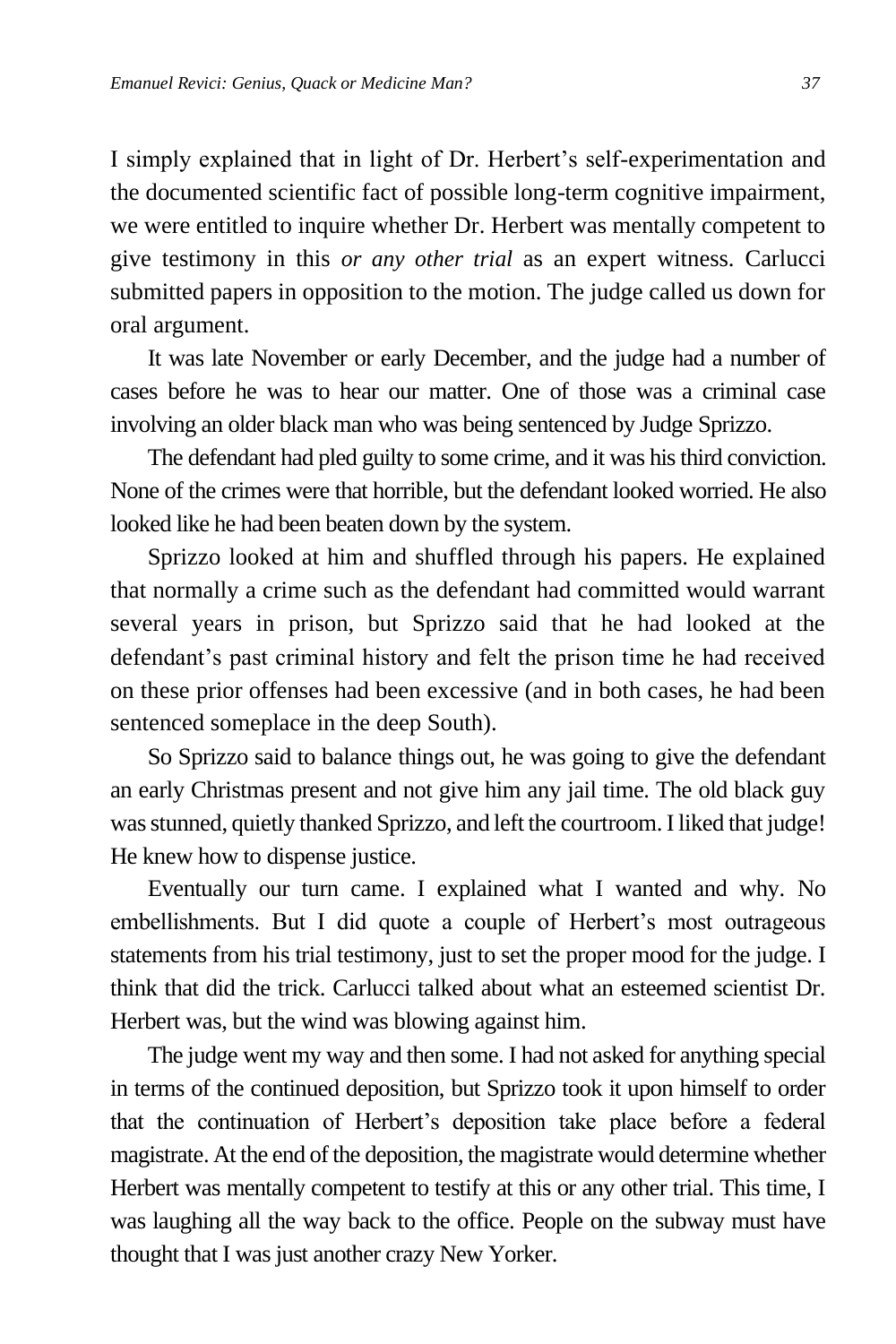I simply explained that in light of Dr. Herbert's self-experimentation and the documented scientific fact of possible long-term cognitive impairment, we were entitled to inquire whether Dr. Herbert was mentally competent to give testimony in this *or any other trial* as an expert witness. Carlucci submitted papers in opposition to the motion. The judge called us down for oral argument.

It was late November or early December, and the judge had a number of cases before he was to hear our matter. One of those was a criminal case involving an older black man who was being sentenced by Judge Sprizzo.

The defendant had pled guilty to some crime, and it was his third conviction. None of the crimes were that horrible, but the defendant looked worried. He also looked like he had been beaten down by the system.

Sprizzo looked at him and shuffled through his papers. He explained that normally a crime such as the defendant had committed would warrant several years in prison, but Sprizzo said that he had looked at the defendant's past criminal history and felt the prison time he had received on these prior offenses had been excessive (and in both cases, he had been sentenced someplace in the deep South).

So Sprizzo said to balance things out, he was going to give the defendant an early Christmas present and not give him any jail time. The old black guy was stunned, quietly thanked Sprizzo, and left the courtroom. I liked that judge! He knew how to dispense justice.

Eventually our turn came. I explained what I wanted and why. No embellishments. But I did quote a couple of Herbert's most outrageous statements from his trial testimony, just to set the proper mood for the judge. I think that did the trick. Carlucci talked about what an esteemed scientist Dr. Herbert was, but the wind was blowing against him.

The judge went my way and then some. I had not asked for anything special in terms of the continued deposition, but Sprizzo took it upon himself to order that the continuation of Herbert's deposition take place before a federal magistrate. At the end of the deposition, the magistrate would determine whether Herbert was mentally competent to testify at this or any other trial. This time, I was laughing all the way back to the office. People on the subway must have thought that I was just another crazy New Yorker.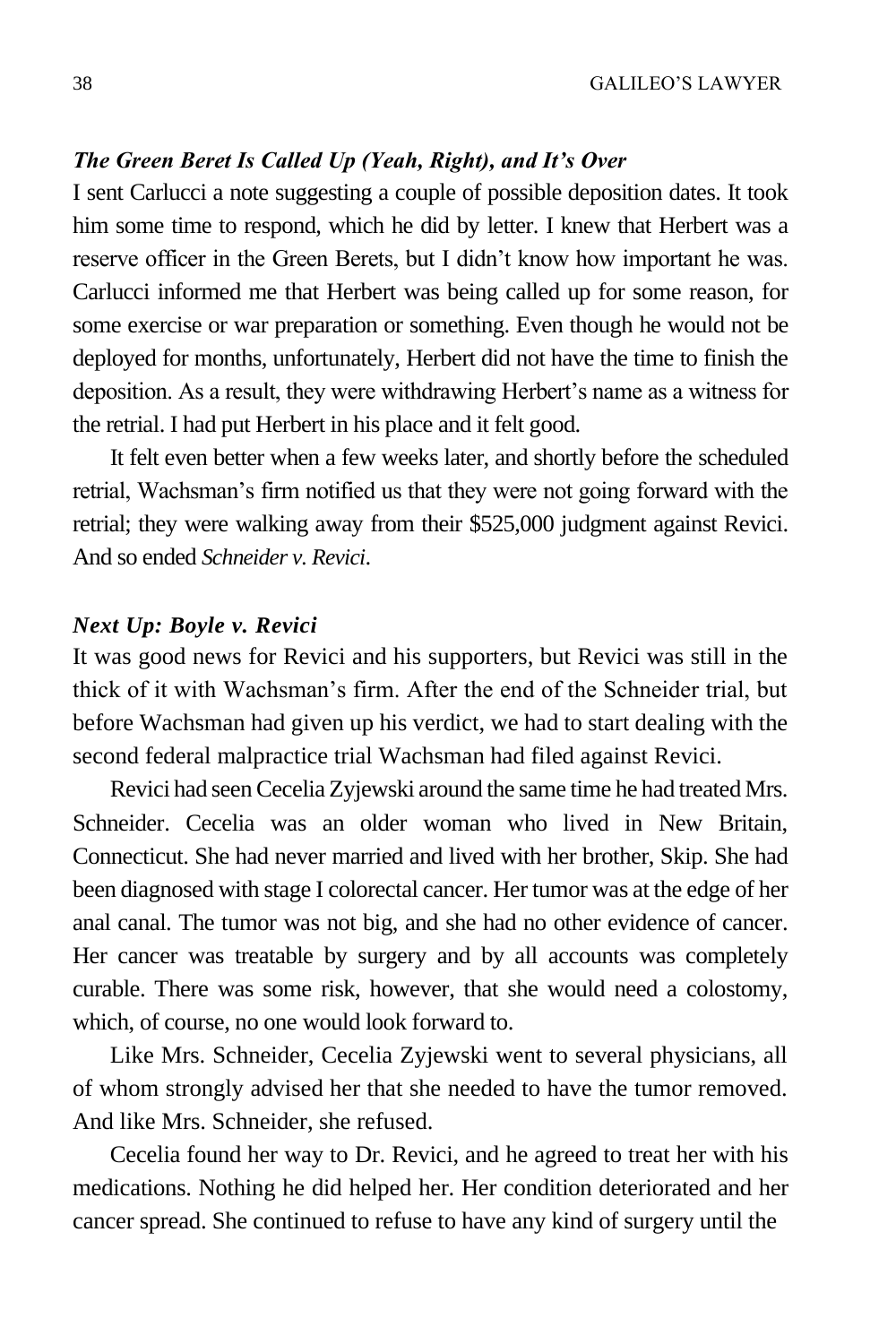## *The Green Beret Is Called Up (Yeah, Right), and It's Over*

I sent Carlucci a note suggesting a couple of possible deposition dates. It took him some time to respond, which he did by letter. I knew that Herbert was a reserve officer in the Green Berets, but I didn't know how important he was. Carlucci informed me that Herbert was being called up for some reason, for some exercise or war preparation or something. Even though he would not be deployed for months, unfortunately, Herbert did not have the time to finish the deposition. As a result, they were withdrawing Herbert's name as a witness for the retrial. I had put Herbert in his place and it felt good.

It felt even better when a few weeks later, and shortly before the scheduled retrial, Wachsman's firm notified us that they were not going forward with the retrial; they were walking away from their \$525,000 judgment against Revici. And so ended *Schneider v. Revici*.

#### *Next Up: Boyle v. Revici*

It was good news for Revici and his supporters, but Revici was still in the thick of it with Wachsman's firm. After the end of the Schneider trial, but before Wachsman had given up his verdict, we had to start dealing with the second federal malpractice trial Wachsman had filed against Revici.

Revici had seen Cecelia Zyjewski around the same time he had treated Mrs. Schneider. Cecelia was an older woman who lived in New Britain, Connecticut. She had never married and lived with her brother, Skip. She had been diagnosed with stage I colorectal cancer. Her tumor was at the edge of her anal canal. The tumor was not big, and she had no other evidence of cancer. Her cancer was treatable by surgery and by all accounts was completely curable. There was some risk, however, that she would need a colostomy, which, of course, no one would look forward to.

Like Mrs. Schneider, Cecelia Zyjewski went to several physicians, all of whom strongly advised her that she needed to have the tumor removed. And like Mrs. Schneider, she refused.

Cecelia found her way to Dr. Revici, and he agreed to treat her with his medications. Nothing he did helped her. Her condition deteriorated and her cancer spread. She continued to refuse to have any kind of surgery until the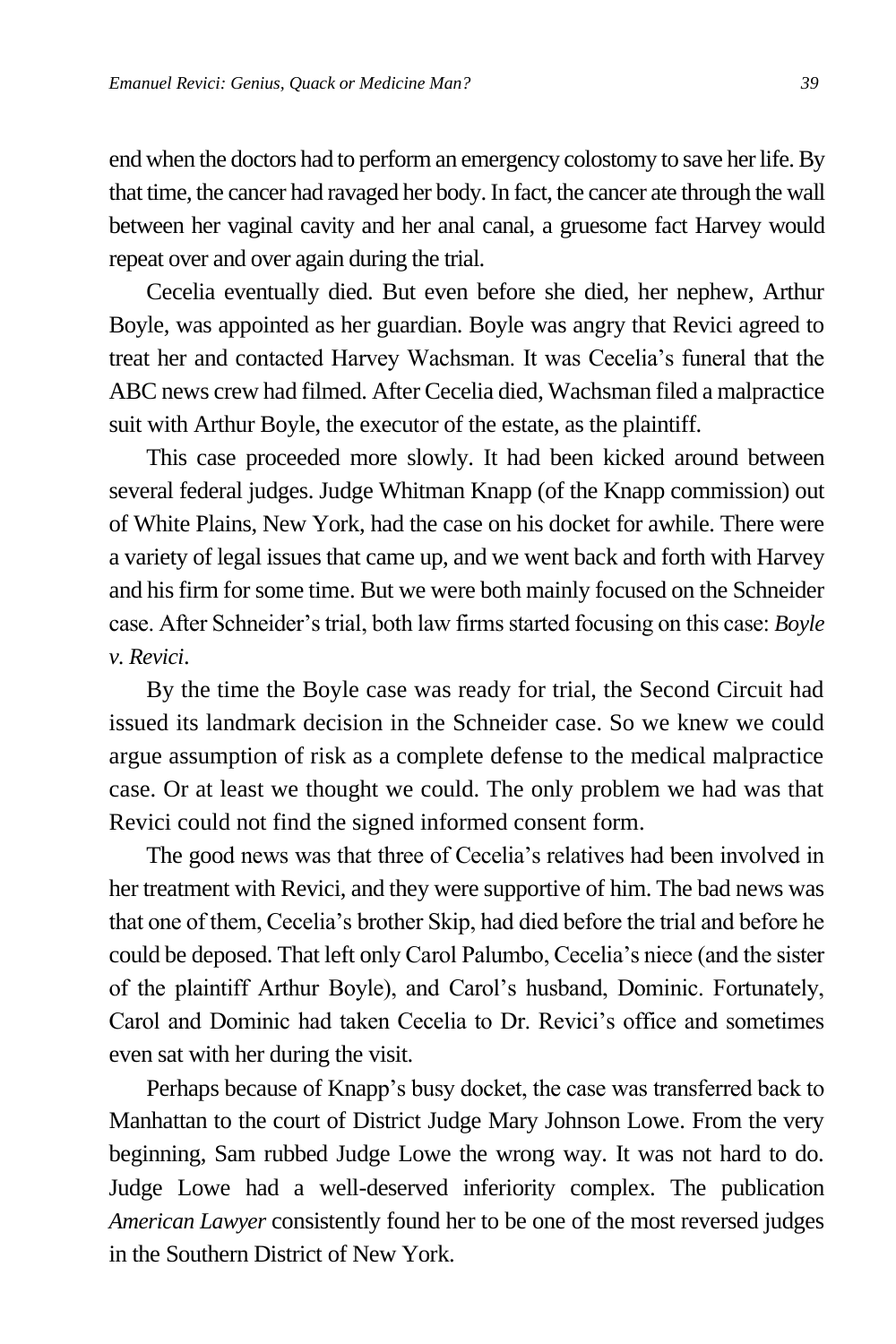end when the doctors had to perform an emergency colostomy to save her life. By that time, the cancer had ravaged her body. In fact, the cancer ate through the wall between her vaginal cavity and her anal canal, a gruesome fact Harvey would repeat over and over again during the trial.

Cecelia eventually died. But even before she died, her nephew, Arthur Boyle, was appointed as her guardian. Boyle was angry that Revici agreed to treat her and contacted Harvey Wachsman. It was Cecelia's funeral that the ABC news crew had filmed. After Cecelia died, Wachsman filed a malpractice suit with Arthur Boyle, the executor of the estate, as the plaintiff.

This case proceeded more slowly. It had been kicked around between several federal judges. Judge Whitman Knapp (of the Knapp commission) out of White Plains, New York, had the case on his docket for awhile. There were a variety of legal issues that came up, and we went back and forth with Harvey and his firm for some time. But we were both mainly focused on the Schneider case. After Schneider's trial, both law firms started focusing on this case: *Boyle v. Revici*.

By the time the Boyle case was ready for trial, the Second Circuit had issued its landmark decision in the Schneider case. So we knew we could argue assumption of risk as a complete defense to the medical malpractice case. Or at least we thought we could. The only problem we had was that Revici could not find the signed informed consent form.

The good news was that three of Cecelia's relatives had been involved in her treatment with Revici, and they were supportive of him. The bad news was that one of them, Cecelia's brother Skip, had died before the trial and before he could be deposed. That left only Carol Palumbo, Cecelia's niece (and the sister of the plaintiff Arthur Boyle), and Carol's husband, Dominic. Fortunately, Carol and Dominic had taken Cecelia to Dr. Revici's office and sometimes even sat with her during the visit.

Perhaps because of Knapp's busy docket, the case was transferred back to Manhattan to the court of District Judge Mary Johnson Lowe. From the very beginning, Sam rubbed Judge Lowe the wrong way. It was not hard to do. Judge Lowe had a well-deserved inferiority complex. The publication *American Lawyer* consistently found her to be one of the most reversed judges in the Southern District of New York.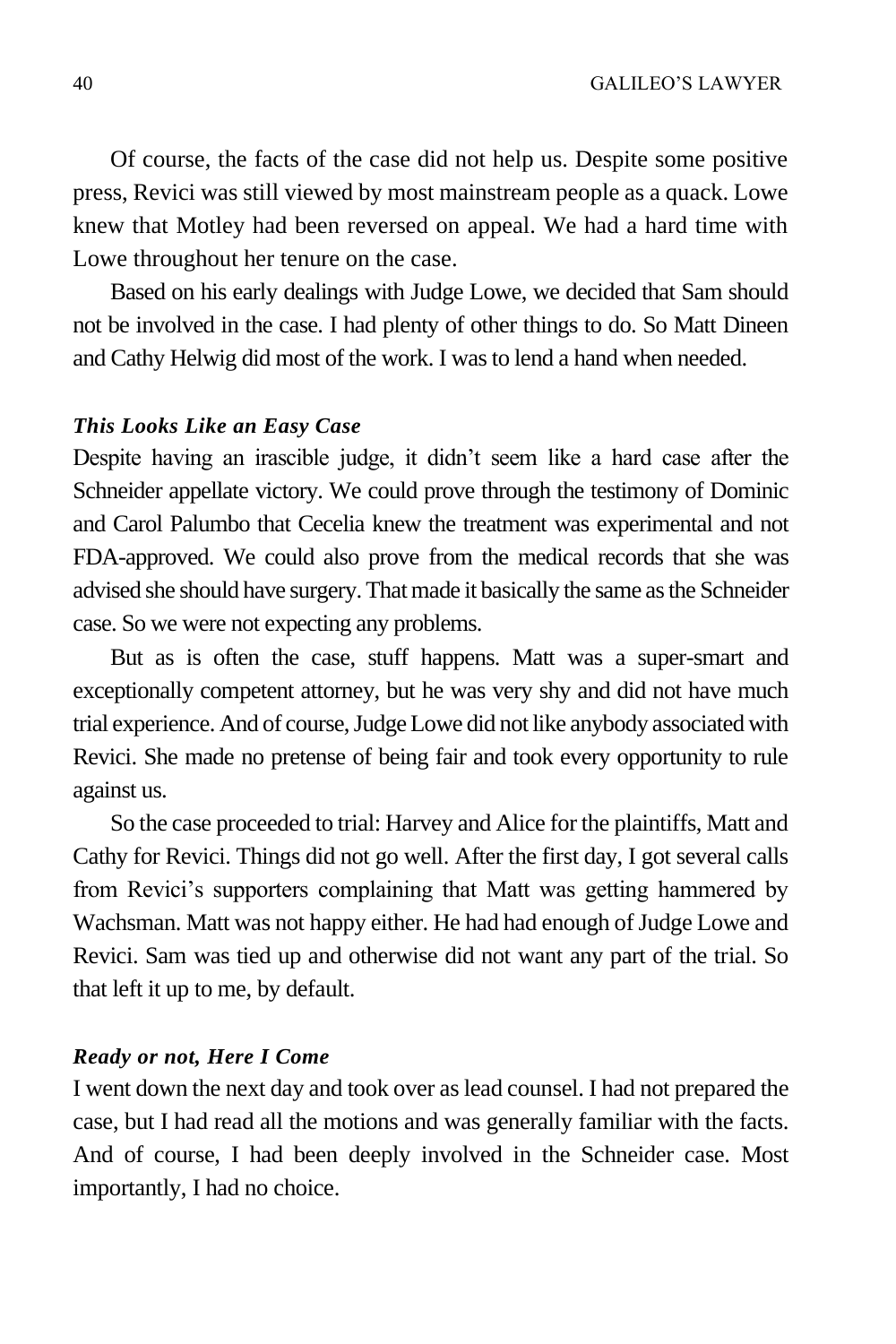Of course, the facts of the case did not help us. Despite some positive press, Revici was still viewed by most mainstream people as a quack. Lowe knew that Motley had been reversed on appeal. We had a hard time with Lowe throughout her tenure on the case.

Based on his early dealings with Judge Lowe, we decided that Sam should not be involved in the case. I had plenty of other things to do. So Matt Dineen and Cathy Helwig did most of the work. I was to lend a hand when needed.

#### *This Looks Like an Easy Case*

Despite having an irascible judge, it didn't seem like a hard case after the Schneider appellate victory. We could prove through the testimony of Dominic and Carol Palumbo that Cecelia knew the treatment was experimental and not FDA-approved. We could also prove from the medical records that she was advised she should have surgery. That made it basically the same as the Schneider case. So we were not expecting any problems.

But as is often the case, stuff happens. Matt was a super-smart and exceptionally competent attorney, but he was very shy and did not have much trial experience. And of course, Judge Lowe did not like anybody associated with Revici. She made no pretense of being fair and took every opportunity to rule against us.

So the case proceeded to trial: Harvey and Alice for the plaintiffs, Matt and Cathy for Revici. Things did not go well. After the first day, I got several calls from Revici's supporters complaining that Matt was getting hammered by Wachsman. Matt was not happy either. He had had enough of Judge Lowe and Revici. Sam was tied up and otherwise did not want any part of the trial. So that left it up to me, by default.

## *Ready or not, Here I Come*

I went down the next day and took over as lead counsel. I had not prepared the case, but I had read all the motions and was generally familiar with the facts. And of course, I had been deeply involved in the Schneider case. Most importantly, I had no choice.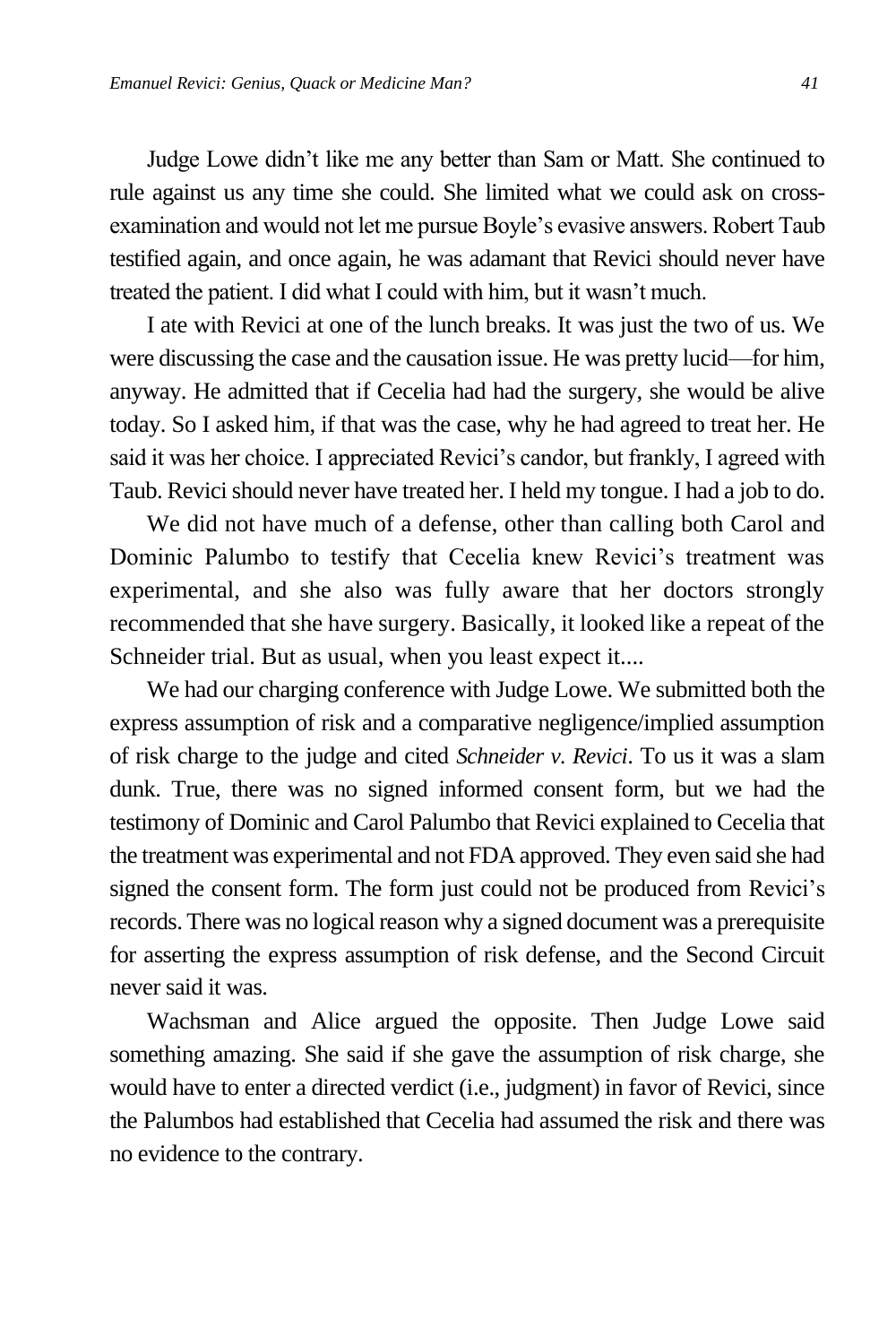Judge Lowe didn't like me any better than Sam or Matt. She continued to rule against us any time she could. She limited what we could ask on crossexamination and would not let me pursue Boyle's evasive answers. Robert Taub testified again, and once again, he was adamant that Revici should never have treated the patient. I did what I could with him, but it wasn't much.

I ate with Revici at one of the lunch breaks. It was just the two of us. We were discussing the case and the causation issue. He was pretty lucid—for him, anyway. He admitted that if Cecelia had had the surgery, she would be alive today. So I asked him, if that was the case, why he had agreed to treat her. He said it was her choice. I appreciated Revici's candor, but frankly, I agreed with Taub. Revici should never have treated her. I held my tongue. I had a job to do.

We did not have much of a defense, other than calling both Carol and Dominic Palumbo to testify that Cecelia knew Revici's treatment was experimental, and she also was fully aware that her doctors strongly recommended that she have surgery. Basically, it looked like a repeat of the Schneider trial. But as usual, when you least expect it....

We had our charging conference with Judge Lowe. We submitted both the express assumption of risk and a comparative negligence/implied assumption of risk charge to the judge and cited *Schneider v. Revici*. To us it was a slam dunk. True, there was no signed informed consent form, but we had the testimony of Dominic and Carol Palumbo that Revici explained to Cecelia that the treatment was experimental and not FDA approved. They even said she had signed the consent form. The form just could not be produced from Revici's records. There was no logical reason why a signed document was a prerequisite for asserting the express assumption of risk defense, and the Second Circuit never said it was.

Wachsman and Alice argued the opposite. Then Judge Lowe said something amazing. She said if she gave the assumption of risk charge, she would have to enter a directed verdict (i.e., judgment) in favor of Revici, since the Palumbos had established that Cecelia had assumed the risk and there was no evidence to the contrary.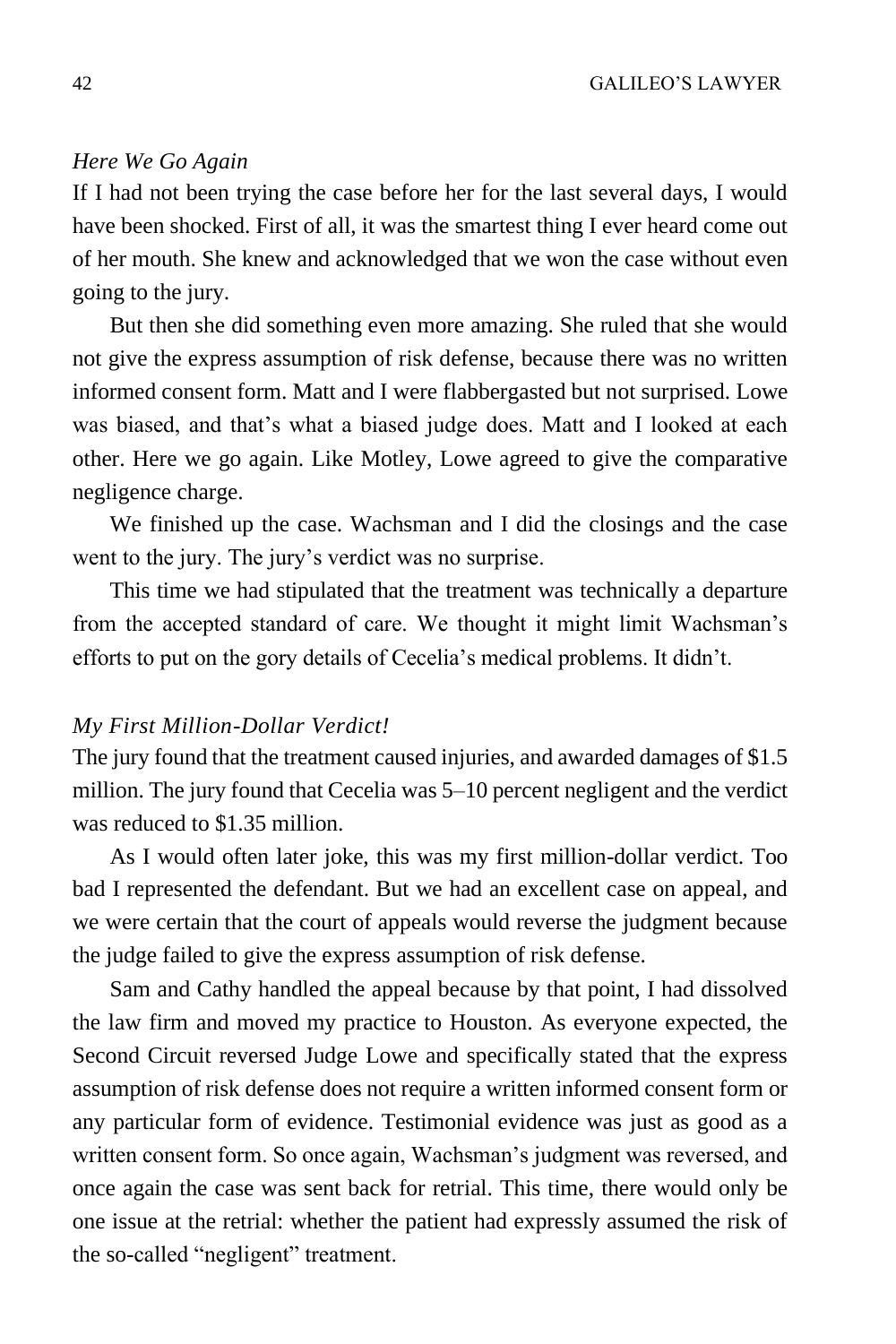## *Here We Go Again*

If I had not been trying the case before her for the last several days, I would have been shocked. First of all, it was the smartest thing I ever heard come out of her mouth. She knew and acknowledged that we won the case without even going to the jury.

But then she did something even more amazing. She ruled that she would not give the express assumption of risk defense, because there was no written informed consent form. Matt and I were flabbergasted but not surprised. Lowe was biased, and that's what a biased judge does. Matt and I looked at each other. Here we go again. Like Motley, Lowe agreed to give the comparative negligence charge.

We finished up the case. Wachsman and I did the closings and the case went to the jury. The jury's verdict was no surprise.

This time we had stipulated that the treatment was technically a departure from the accepted standard of care. We thought it might limit Wachsman's efforts to put on the gory details of Cecelia's medical problems. It didn't.

#### *My First Million-Dollar Verdict!*

The jury found that the treatment caused injuries, and awarded damages of \$1.5 million. The jury found that Cecelia was 5–10 percent negligent and the verdict was reduced to \$1.35 million.

As I would often later joke, this was my first million-dollar verdict. Too bad I represented the defendant. But we had an excellent case on appeal, and we were certain that the court of appeals would reverse the judgment because the judge failed to give the express assumption of risk defense.

Sam and Cathy handled the appeal because by that point, I had dissolved the law firm and moved my practice to Houston. As everyone expected, the Second Circuit reversed Judge Lowe and specifically stated that the express assumption of risk defense does not require a written informed consent form or any particular form of evidence. Testimonial evidence was just as good as a written consent form. So once again, Wachsman's judgment was reversed, and once again the case was sent back for retrial. This time, there would only be one issue at the retrial: whether the patient had expressly assumed the risk of the so-called "negligent" treatment.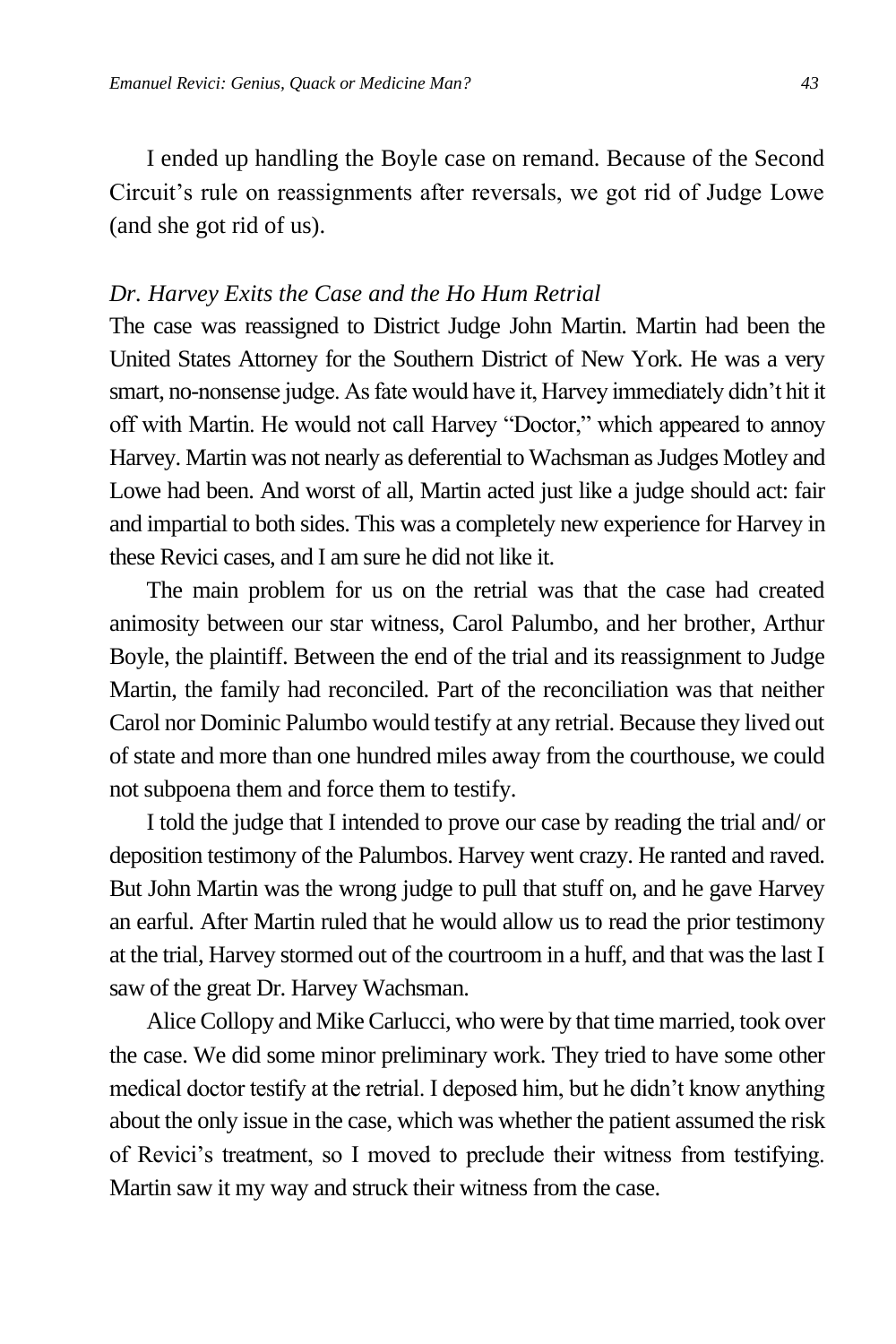I ended up handling the Boyle case on remand. Because of the Second Circuit's rule on reassignments after reversals, we got rid of Judge Lowe (and she got rid of us).

#### *Dr. Harvey Exits the Case and the Ho Hum Retrial*

The case was reassigned to District Judge John Martin. Martin had been the United States Attorney for the Southern District of New York. He was a very smart, no-nonsense judge. As fate would have it, Harvey immediately didn't hit it off with Martin. He would not call Harvey "Doctor," which appeared to annoy Harvey. Martin was not nearly as deferential to Wachsman as Judges Motley and Lowe had been. And worst of all, Martin acted just like a judge should act: fair and impartial to both sides. This was a completely new experience for Harvey in these Revici cases, and I am sure he did not like it.

The main problem for us on the retrial was that the case had created animosity between our star witness, Carol Palumbo, and her brother, Arthur Boyle, the plaintiff. Between the end of the trial and its reassignment to Judge Martin, the family had reconciled. Part of the reconciliation was that neither Carol nor Dominic Palumbo would testify at any retrial. Because they lived out of state and more than one hundred miles away from the courthouse, we could not subpoena them and force them to testify.

I told the judge that I intended to prove our case by reading the trial and/ or deposition testimony of the Palumbos. Harvey went crazy. He ranted and raved. But John Martin was the wrong judge to pull that stuff on, and he gave Harvey an earful. After Martin ruled that he would allow us to read the prior testimony at the trial, Harvey stormed out of the courtroom in a huff, and that was the last I saw of the great Dr. Harvey Wachsman.

Alice Collopy and Mike Carlucci, who were by that time married, took over the case. We did some minor preliminary work. They tried to have some other medical doctor testify at the retrial. I deposed him, but he didn't know anything about the only issue in the case, which was whether the patient assumed the risk of Revici's treatment, so I moved to preclude their witness from testifying. Martin saw it my way and struck their witness from the case.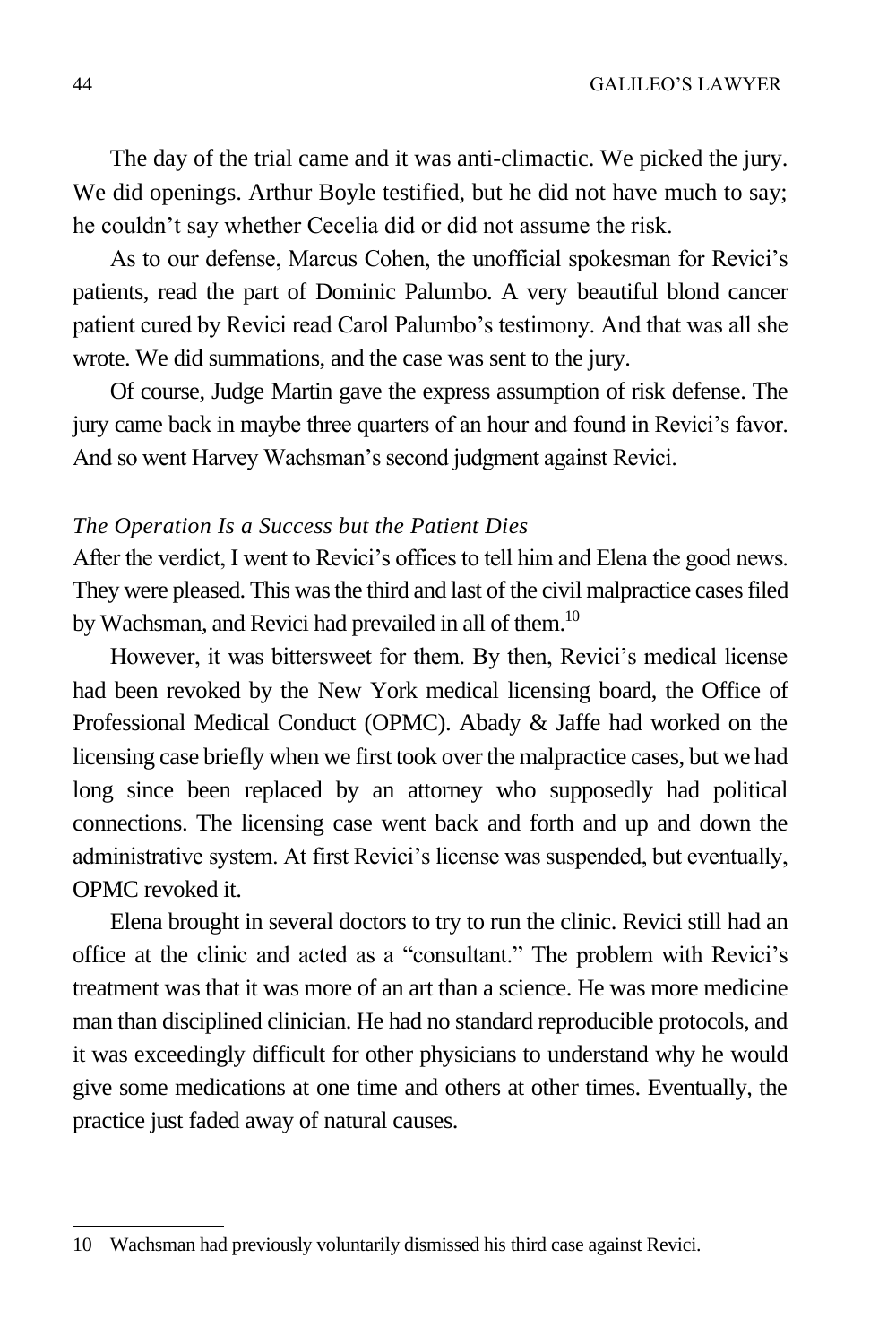The day of the trial came and it was anti-climactic. We picked the jury. We did openings. Arthur Boyle testified, but he did not have much to say; he couldn't say whether Cecelia did or did not assume the risk.

As to our defense, Marcus Cohen, the unofficial spokesman for Revici's patients, read the part of Dominic Palumbo. A very beautiful blond cancer patient cured by Revici read Carol Palumbo's testimony. And that was all she wrote. We did summations, and the case was sent to the jury.

Of course, Judge Martin gave the express assumption of risk defense. The jury came back in maybe three quarters of an hour and found in Revici's favor. And so went Harvey Wachsman's second judgment against Revici.

## *The Operation Is a Success but the Patient Dies*

After the verdict, I went to Revici's offices to tell him and Elena the good news. They were pleased. This was the third and last of the civil malpractice cases filed by Wachsman, and Revici had prevailed in all of them.<sup>10</sup>

However, it was bittersweet for them. By then, Revici's medical license had been revoked by the New York medical licensing board, the Office of Professional Medical Conduct (OPMC). Abady & Jaffe had worked on the licensing case briefly when we first took over the malpractice cases, but we had long since been replaced by an attorney who supposedly had political connections. The licensing case went back and forth and up and down the administrative system. At first Revici's license was suspended, but eventually, OPMC revoked it.

Elena brought in several doctors to try to run the clinic. Revici still had an office at the clinic and acted as a "consultant." The problem with Revici's treatment was that it was more of an art than a science. He was more medicine man than disciplined clinician. He had no standard reproducible protocols, and it was exceedingly difficult for other physicians to understand why he would give some medications at one time and others at other times. Eventually, the practice just faded away of natural causes.

<sup>10</sup> Wachsman had previously voluntarily dismissed his third case against Revici.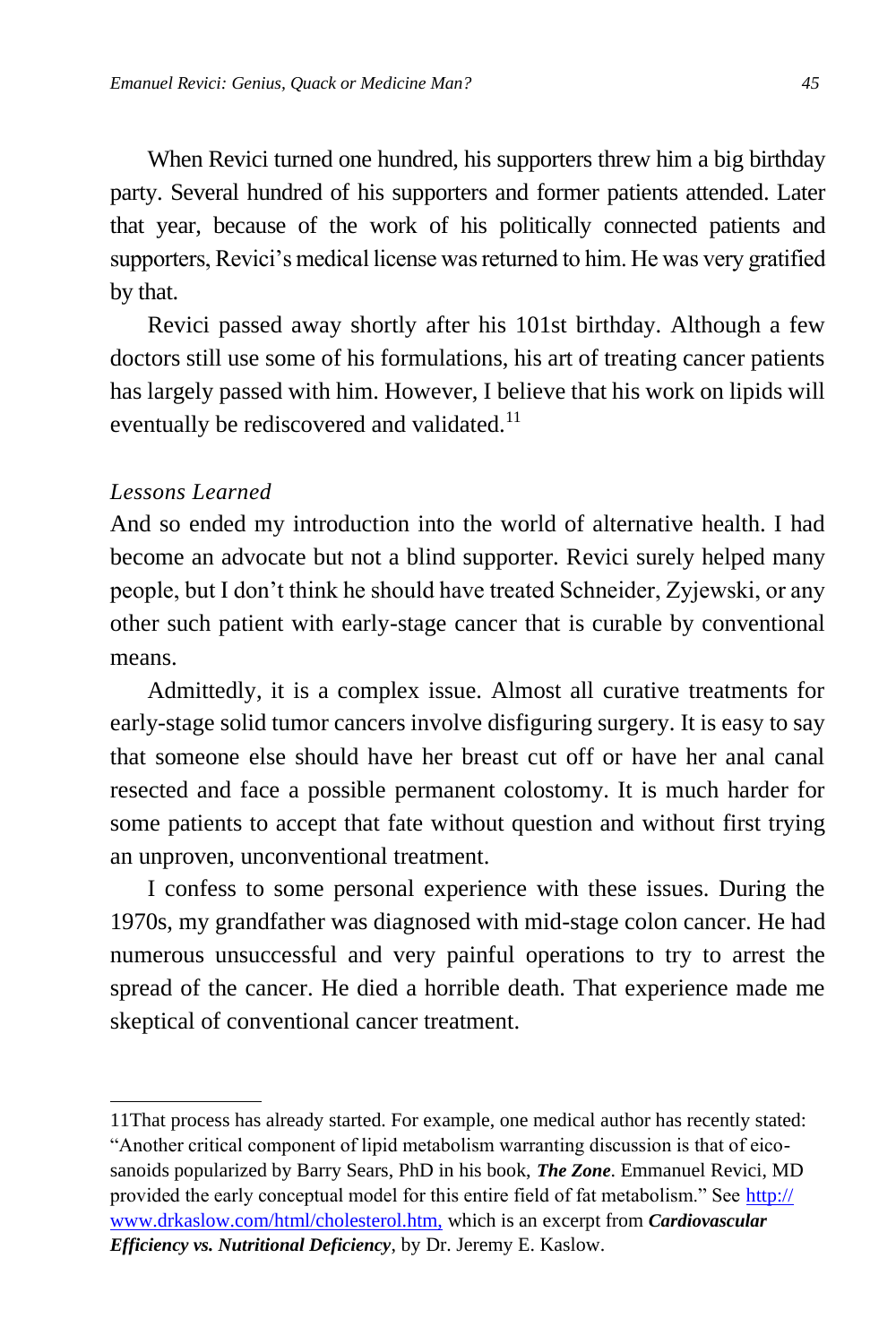When Revici turned one hundred, his supporters threw him a big birthday party. Several hundred of his supporters and former patients attended. Later that year, because of the work of his politically connected patients and supporters, Revici's medical license was returned to him. He was very gratified by that.

Revici passed away shortly after his 101st birthday. Although a few doctors still use some of his formulations, his art of treating cancer patients has largely passed with him. However, I believe that his work on lipids will eventually be rediscovered and validated.<sup>11</sup>

## *Lessons Learned*

And so ended my introduction into the world of alternative health. I had become an advocate but not a blind supporter. Revici surely helped many people, but I don't think he should have treated Schneider, Zyjewski, or any other such patient with early-stage cancer that is curable by conventional means.

Admittedly, it is a complex issue. Almost all curative treatments for early-stage solid tumor cancers involve disfiguring surgery. It is easy to say that someone else should have her breast cut off or have her anal canal resected and face a possible permanent colostomy. It is much harder for some patients to accept that fate without question and without first trying an unproven, unconventional treatment.

I confess to some personal experience with these issues. During the 1970s, my grandfather was diagnosed with mid-stage colon cancer. He had numerous unsuccessful and very painful operations to try to arrest the spread of the cancer. He died a horrible death. That experience made me skeptical of conventional cancer treatment.

<sup>11</sup>That process has already started. For example, one medical author has recently stated: "Another critical component of lipid metabolism warranting discussion is that of eicosanoids popularized by Barry Sears, PhD in his book, *The Zone*. Emmanuel Revici, MD provided the early conceptual model for this entire field of fat metabolism." See [http://](http://www.drkaslow.com/html/cholesterol.htm,)  [www.drkaslow.com/html/cholesterol.htm,](http://www.drkaslow.com/html/cholesterol.htm,) which is an excerpt from *Cardiovascular Efficiency vs. Nutritional Deficiency*, by Dr. Jeremy E. Kaslow.